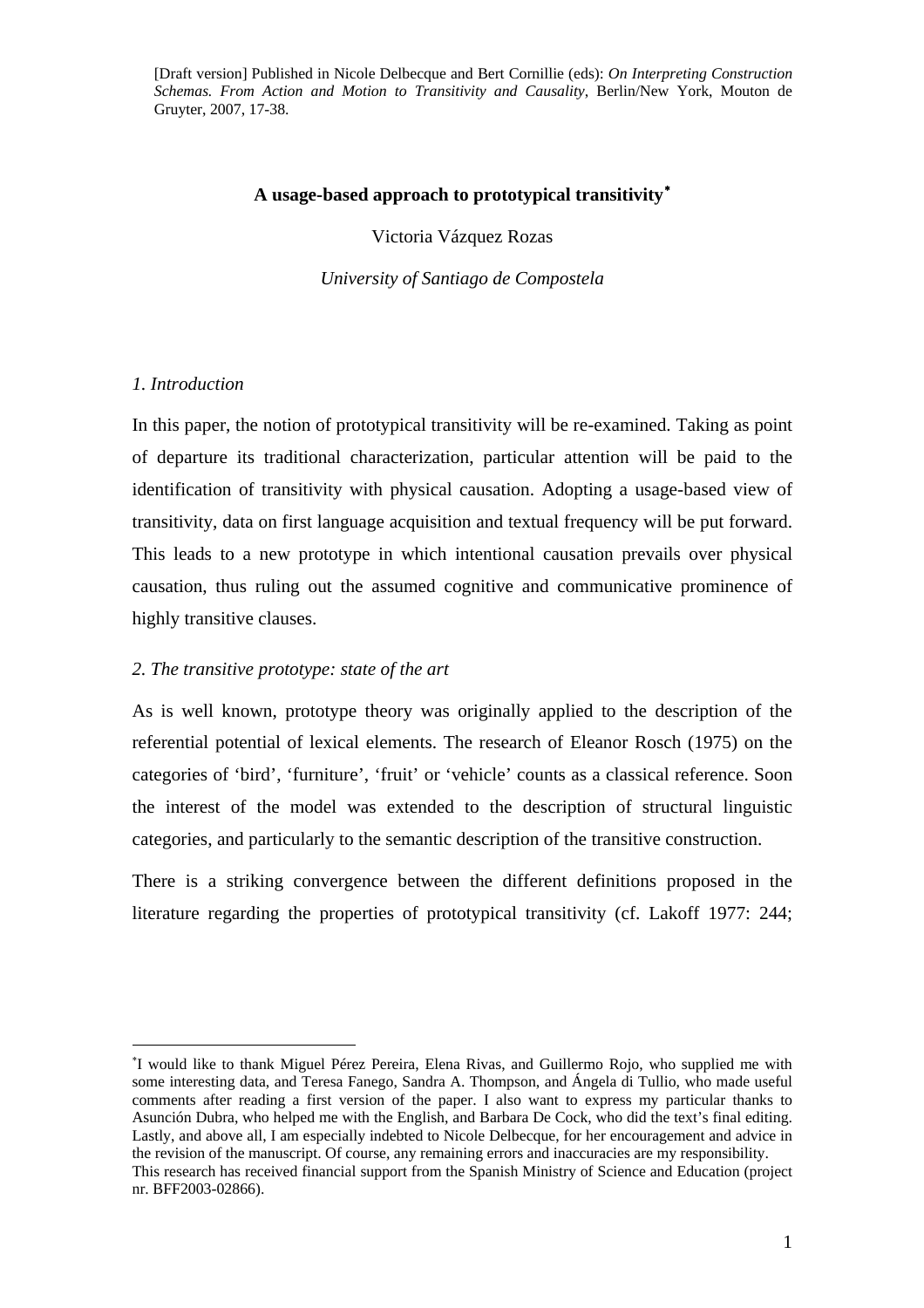## **A usage-based approach to prototypical transitivity**[∗](#page-0-0)

Victoria Vázquez Rozas

*University of Santiago de Compostela* 

## *1. Introduction*

 $\overline{a}$ 

In this paper, the notion of prototypical transitivity will be re-examined. Taking as point of departure its traditional characterization, particular attention will be paid to the identification of transitivity with physical causation. Adopting a usage-based view of transitivity, data on first language acquisition and textual frequency will be put forward. This leads to a new prototype in which intentional causation prevails over physical causation, thus ruling out the assumed cognitive and communicative prominence of highly transitive clauses.

## *2. The transitive prototype: state of the art*

As is well known, prototype theory was originally applied to the description of the referential potential of lexical elements. The research of Eleanor Rosch (1975) on the categories of 'bird', 'furniture', 'fruit' or 'vehicle' counts as a classical reference. Soon the interest of the model was extended to the description of structural linguistic categories, and particularly to the semantic description of the transitive construction.

There is a striking convergence between the different definitions proposed in the literature regarding the properties of prototypical transitivity (cf. Lakoff 1977: 244;

<span id="page-0-0"></span><sup>∗</sup> I would like to thank Miguel Pérez Pereira, Elena Rivas, and Guillermo Rojo, who supplied me with some interesting data, and Teresa Fanego, Sandra A. Thompson, and Ángela di Tullio, who made useful comments after reading a first version of the paper. I also want to express my particular thanks to Asunción Dubra, who helped me with the English, and Barbara De Cock, who did the text's final editing. Lastly, and above all, I am especially indebted to Nicole Delbecque, for her encouragement and advice in the revision of the manuscript. Of course, any remaining errors and inaccuracies are my responsibility. This research has received financial support from the Spanish Ministry of Science and Education (project nr. BFF2003-02866).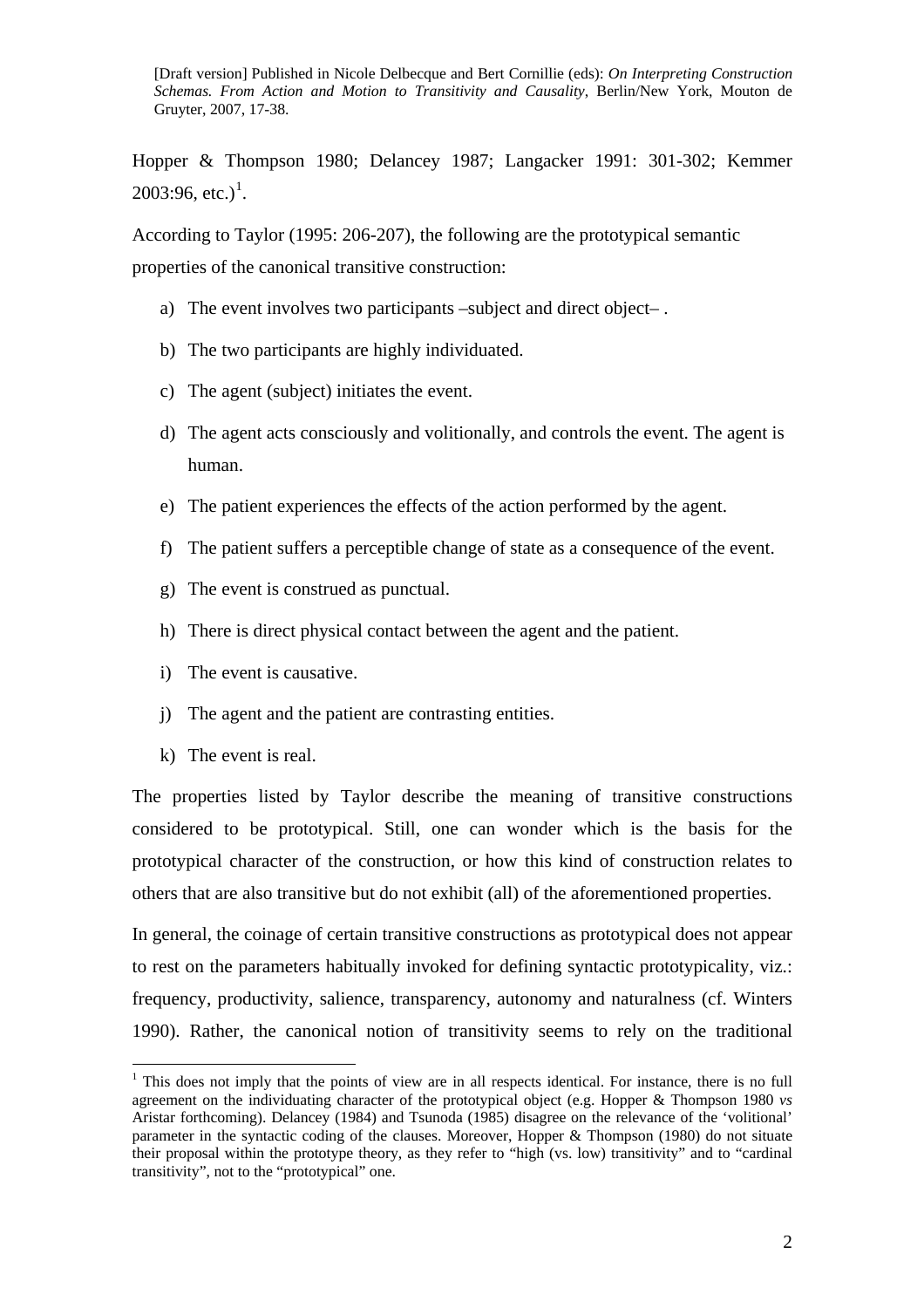Hopper & Thompson 1980; Delancey 1987; Langacker 1991: 301-302; Kemmer 2003:96, etc.)<sup>[1](#page-1-0)</sup>.

According to Taylor (1995: 206-207), the following are the prototypical semantic properties of the canonical transitive construction:

- a) The event involves two participants –subject and direct object– .
- b) The two participants are highly individuated.
- c) The agent (subject) initiates the event.
- d) The agent acts consciously and volitionally, and controls the event. The agent is human.
- e) The patient experiences the effects of the action performed by the agent.
- f) The patient suffers a perceptible change of state as a consequence of the event.
- g) The event is construed as punctual.
- h) There is direct physical contact between the agent and the patient.
- i) The event is causative.
- j) The agent and the patient are contrasting entities.
- k) The event is real.

 $\overline{a}$ 

The properties listed by Taylor describe the meaning of transitive constructions considered to be prototypical. Still, one can wonder which is the basis for the prototypical character of the construction, or how this kind of construction relates to others that are also transitive but do not exhibit (all) of the aforementioned properties.

In general, the coinage of certain transitive constructions as prototypical does not appear to rest on the parameters habitually invoked for defining syntactic prototypicality, viz.: frequency, productivity, salience, transparency, autonomy and naturalness (cf. Winters 1990). Rather, the canonical notion of transitivity seems to rely on the traditional

<span id="page-1-0"></span><sup>&</sup>lt;sup>1</sup> This does not imply that the points of view are in all respects identical. For instance, there is no full agreement on the individuating character of the prototypical object (e.g. Hopper & Thompson 1980 *vs* Aristar forthcoming). Delancey (1984) and Tsunoda (1985) disagree on the relevance of the 'volitional' parameter in the syntactic coding of the clauses. Moreover, Hopper & Thompson (1980) do not situate their proposal within the prototype theory, as they refer to "high (vs. low) transitivity" and to "cardinal transitivity", not to the "prototypical" one.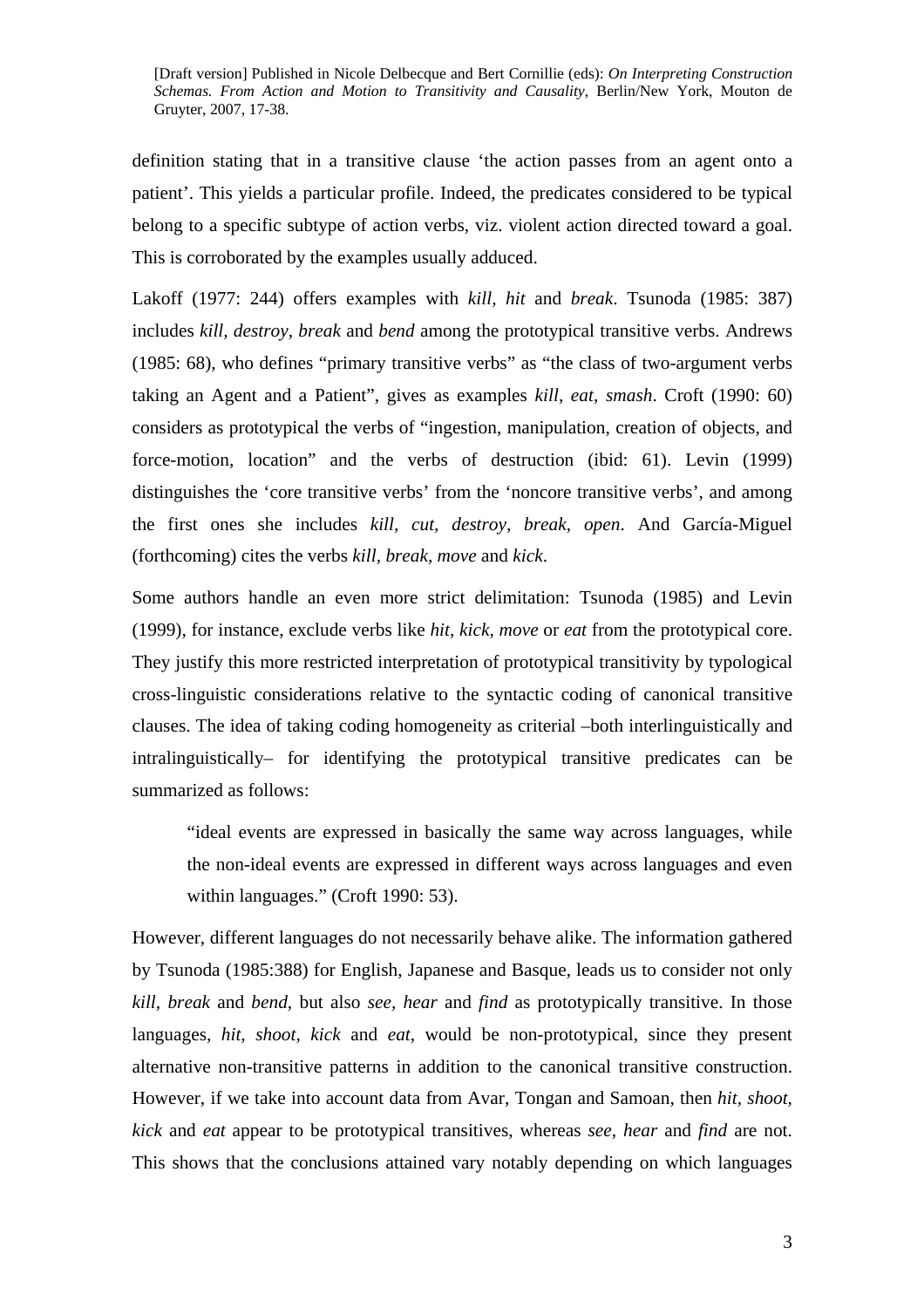definition stating that in a transitive clause 'the action passes from an agent onto a patient'. This yields a particular profile. Indeed, the predicates considered to be typical belong to a specific subtype of action verbs, viz. violent action directed toward a goal. This is corroborated by the examples usually adduced.

Lakoff (1977: 244) offers examples with *kill, hit* and *break*. Tsunoda (1985: 387) includes *kill, destroy, break* and *bend* among the prototypical transitive verbs. Andrews (1985: 68), who defines "primary transitive verbs" as "the class of two-argument verbs taking an Agent and a Patient", gives as examples *kill, eat*, *smash*. Croft (1990: 60) considers as prototypical the verbs of "ingestion, manipulation, creation of objects, and force-motion, location" and the verbs of destruction (ibid: 61). Levin (1999) distinguishes the 'core transitive verbs' from the 'noncore transitive verbs', and among the first ones she includes *kill, cut, destroy, break, open*. And García-Miguel (forthcoming) cites the verbs *kill, break, move* and *kick*.

Some authors handle an even more strict delimitation: Tsunoda (1985) and Levin (1999), for instance, exclude verbs like *hit, kick, move* or *eat* from the prototypical core. They justify this more restricted interpretation of prototypical transitivity by typological cross-linguistic considerations relative to the syntactic coding of canonical transitive clauses. The idea of taking coding homogeneity as criterial –both interlinguistically and intralinguistically– for identifying the prototypical transitive predicates can be summarized as follows:

"ideal events are expressed in basically the same way across languages, while the non-ideal events are expressed in different ways across languages and even within languages." (Croft 1990: 53).

However, different languages do not necessarily behave alike. The information gathered by Tsunoda (1985:388) for English, Japanese and Basque, leads us to consider not only *kill, break* and *bend*, but also *see, hear* and *find* as prototypically transitive. In those languages, *hit, shoot, kick* and *eat*, would be non-prototypical, since they present alternative non-transitive patterns in addition to the canonical transitive construction. However, if we take into account data from Avar, Tongan and Samoan, then *hit, shoot, kick* and *eat* appear to be prototypical transitives, whereas *see, hear* and *find* are not. This shows that the conclusions attained vary notably depending on which languages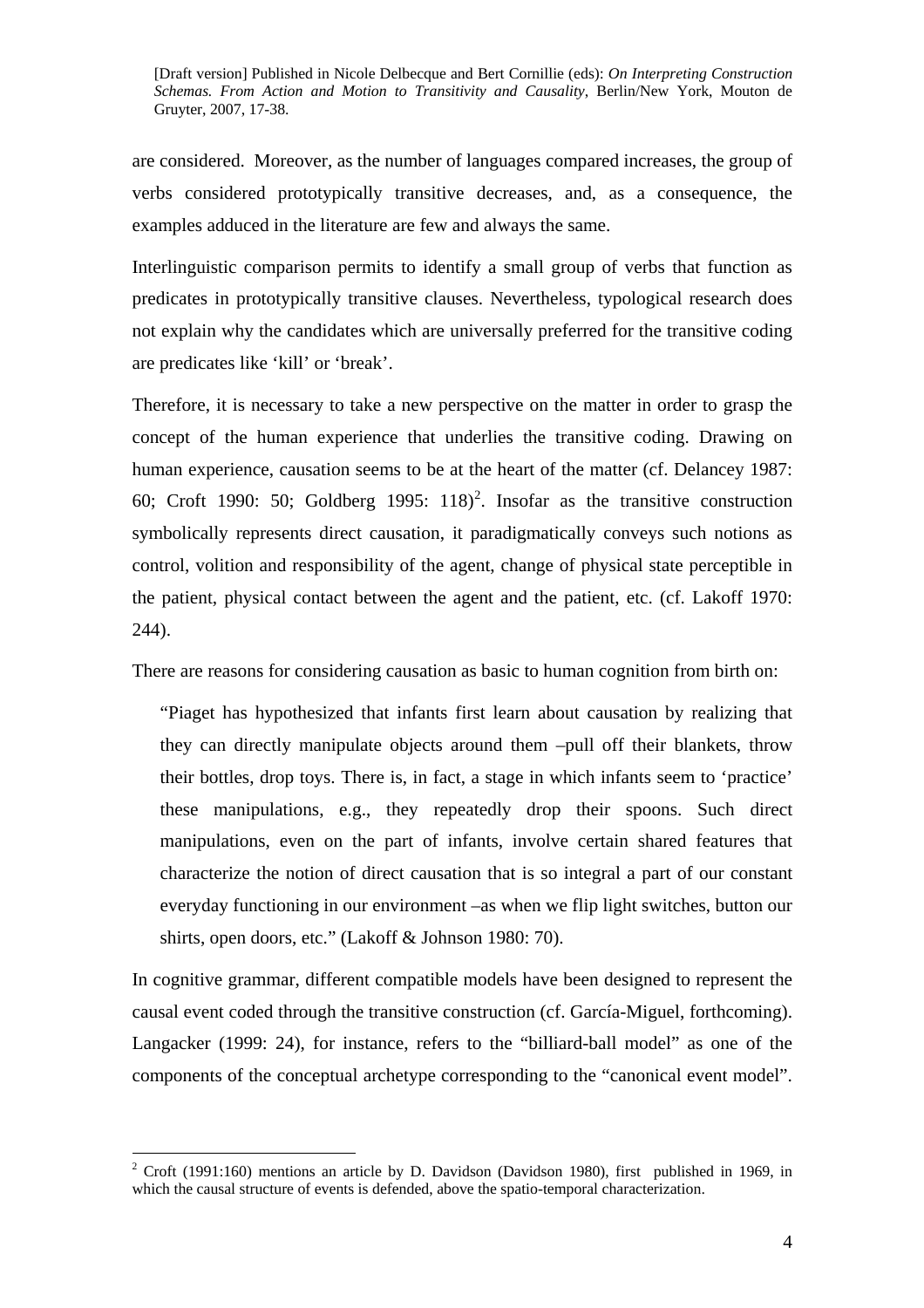are considered. Moreover, as the number of languages compared increases, the group of verbs considered prototypically transitive decreases, and, as a consequence, the examples adduced in the literature are few and always the same.

Interlinguistic comparison permits to identify a small group of verbs that function as predicates in prototypically transitive clauses. Nevertheless, typological research does not explain why the candidates which are universally preferred for the transitive coding are predicates like 'kill' or 'break'.

Therefore, it is necessary to take a new perspective on the matter in order to grasp the concept of the human experience that underlies the transitive coding. Drawing on human experience, causation seems to be at the heart of the matter (cf. Delancey 1987: 60; Croft 1990: 50; Goldberg 1995:  $118$ <sup>[2](#page-3-0)</sup>. Insofar as the transitive construction symbolically represents direct causation, it paradigmatically conveys such notions as control, volition and responsibility of the agent, change of physical state perceptible in the patient, physical contact between the agent and the patient, etc. (cf. Lakoff 1970: 244).

There are reasons for considering causation as basic to human cognition from birth on:

"Piaget has hypothesized that infants first learn about causation by realizing that they can directly manipulate objects around them –pull off their blankets, throw their bottles, drop toys. There is, in fact, a stage in which infants seem to 'practice' these manipulations, e.g., they repeatedly drop their spoons. Such direct manipulations, even on the part of infants, involve certain shared features that characterize the notion of direct causation that is so integral a part of our constant everyday functioning in our environment –as when we flip light switches, button our shirts, open doors, etc." (Lakoff & Johnson 1980: 70).

In cognitive grammar, different compatible models have been designed to represent the causal event coded through the transitive construction (cf. García-Miguel, forthcoming). Langacker (1999: 24), for instance, refers to the "billiard-ball model" as one of the components of the conceptual archetype corresponding to the "canonical event model".

 $\overline{a}$ 

<span id="page-3-0"></span><sup>&</sup>lt;sup>2</sup> Croft (1991:160) mentions an article by D. Davidson (Davidson 1980), first published in 1969, in which the causal structure of events is defended, above the spatio-temporal characterization.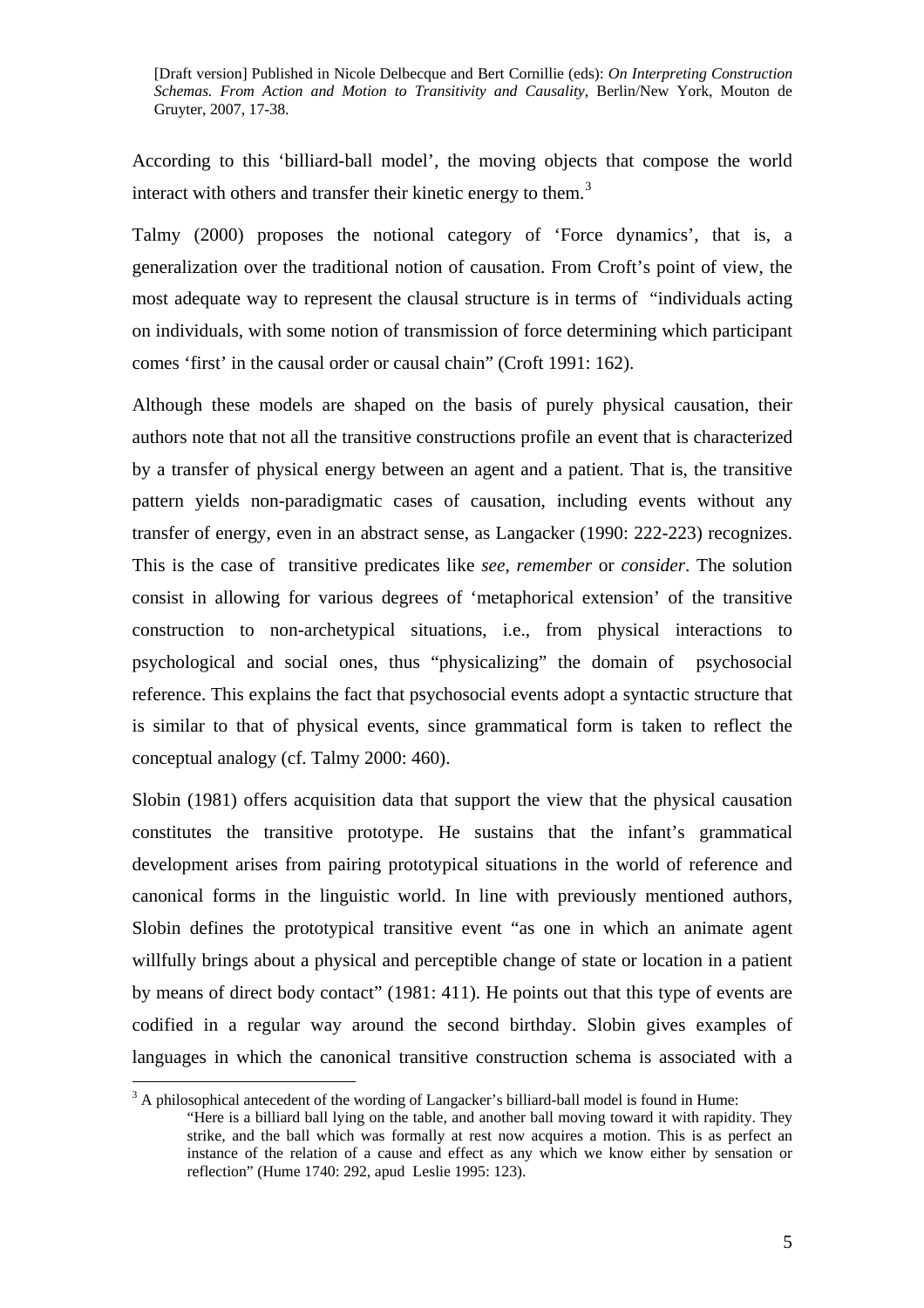According to this 'billiard-ball model', the moving objects that compose the world interact with others and transfer their kinetic energy to them.<sup>[3](#page-4-0)</sup>

Talmy (2000) proposes the notional category of 'Force dynamics', that is, a generalization over the traditional notion of causation. From Croft's point of view, the most adequate way to represent the clausal structure is in terms of "individuals acting on individuals, with some notion of transmission of force determining which participant comes 'first' in the causal order or causal chain" (Croft 1991: 162).

Although these models are shaped on the basis of purely physical causation, their authors note that not all the transitive constructions profile an event that is characterized by a transfer of physical energy between an agent and a patient. That is, the transitive pattern yields non-paradigmatic cases of causation, including events without any transfer of energy, even in an abstract sense, as Langacker (1990: 222-223) recognizes. This is the case of transitive predicates like *see, remember* or *consider*. The solution consist in allowing for various degrees of 'metaphorical extension' of the transitive construction to non-archetypical situations, i.e., from physical interactions to psychological and social ones, thus "physicalizing" the domain of psychosocial reference. This explains the fact that psychosocial events adopt a syntactic structure that is similar to that of physical events, since grammatical form is taken to reflect the conceptual analogy (cf. Talmy 2000: 460).

Slobin (1981) offers acquisition data that support the view that the physical causation constitutes the transitive prototype. He sustains that the infant's grammatical development arises from pairing prototypical situations in the world of reference and canonical forms in the linguistic world. In line with previously mentioned authors, Slobin defines the prototypical transitive event "as one in which an animate agent willfully brings about a physical and perceptible change of state or location in a patient by means of direct body contact" (1981: 411). He points out that this type of events are codified in a regular way around the second birthday. Slobin gives examples of languages in which the canonical transitive construction schema is associated with a

 $\overline{a}$ 

<span id="page-4-0"></span> $3$  A philosophical antecedent of the wording of Langacker's billiard-ball model is found in Hume: "Here is a billiard ball lying on the table, and another ball moving toward it with rapidity. They strike, and the ball which was formally at rest now acquires a motion. This is as perfect an instance of the relation of a cause and effect as any which we know either by sensation or reflection" (Hume 1740: 292, apud Leslie 1995: 123).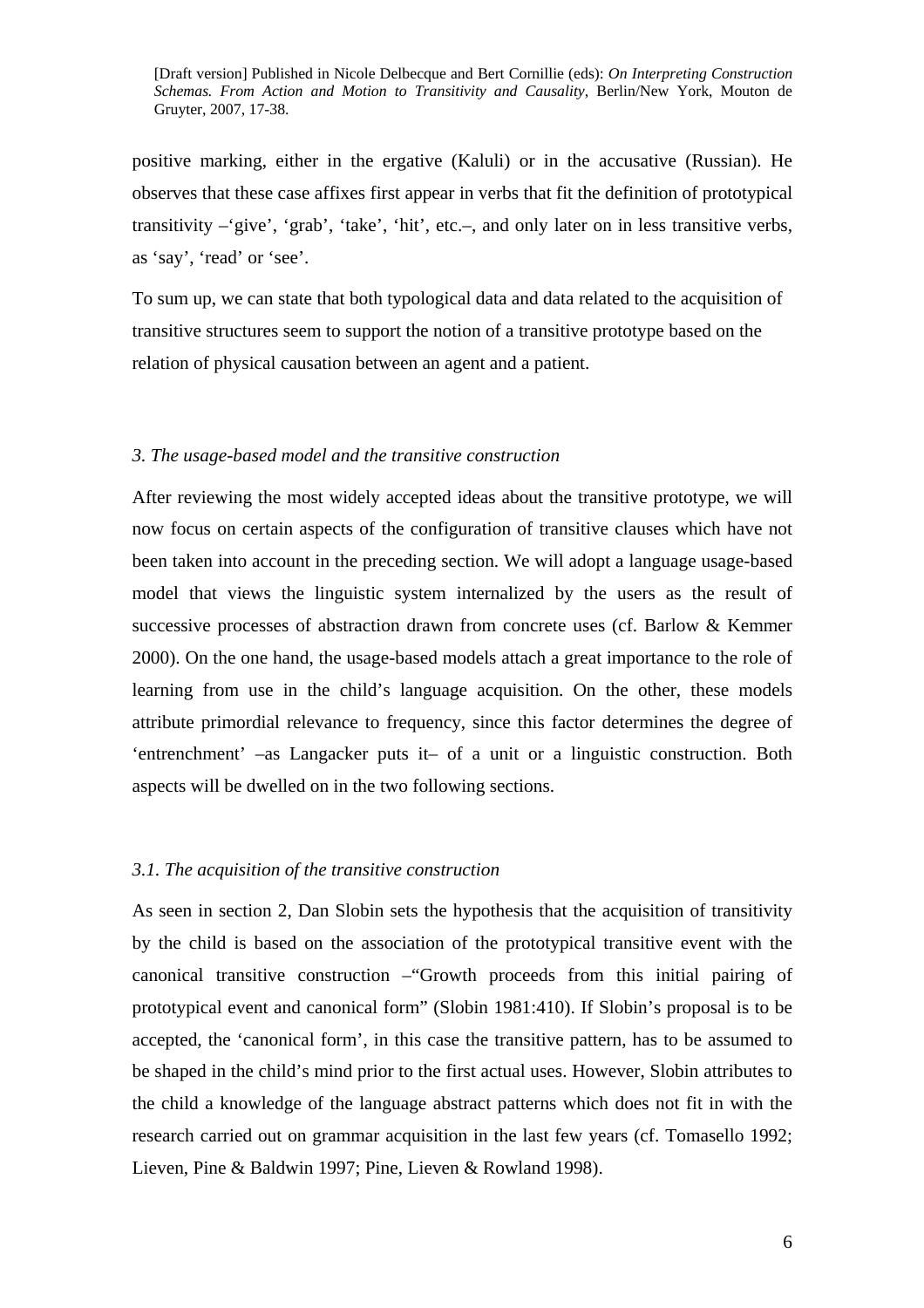positive marking, either in the ergative (Kaluli) or in the accusative (Russian). He observes that these case affixes first appear in verbs that fit the definition of prototypical transitivity –'give', 'grab', 'take', 'hit', etc.–, and only later on in less transitive verbs, as 'say', 'read' or 'see'.

To sum up, we can state that both typological data and data related to the acquisition of transitive structures seem to support the notion of a transitive prototype based on the relation of physical causation between an agent and a patient.

#### *3. The usage-based model and the transitive construction*

After reviewing the most widely accepted ideas about the transitive prototype, we will now focus on certain aspects of the configuration of transitive clauses which have not been taken into account in the preceding section. We will adopt a language usage-based model that views the linguistic system internalized by the users as the result of successive processes of abstraction drawn from concrete uses (cf. Barlow & Kemmer 2000). On the one hand, the usage-based models attach a great importance to the role of learning from use in the child's language acquisition. On the other, these models attribute primordial relevance to frequency, since this factor determines the degree of 'entrenchment' –as Langacker puts it– of a unit or a linguistic construction. Both aspects will be dwelled on in the two following sections.

#### *3.1. The acquisition of the transitive construction*

As seen in section 2, Dan Slobin sets the hypothesis that the acquisition of transitivity by the child is based on the association of the prototypical transitive event with the canonical transitive construction –"Growth proceeds from this initial pairing of prototypical event and canonical form" (Slobin 1981:410). If Slobin's proposal is to be accepted, the 'canonical form', in this case the transitive pattern, has to be assumed to be shaped in the child's mind prior to the first actual uses. However, Slobin attributes to the child a knowledge of the language abstract patterns which does not fit in with the research carried out on grammar acquisition in the last few years (cf. Tomasello 1992; Lieven, Pine & Baldwin 1997; Pine, Lieven & Rowland 1998).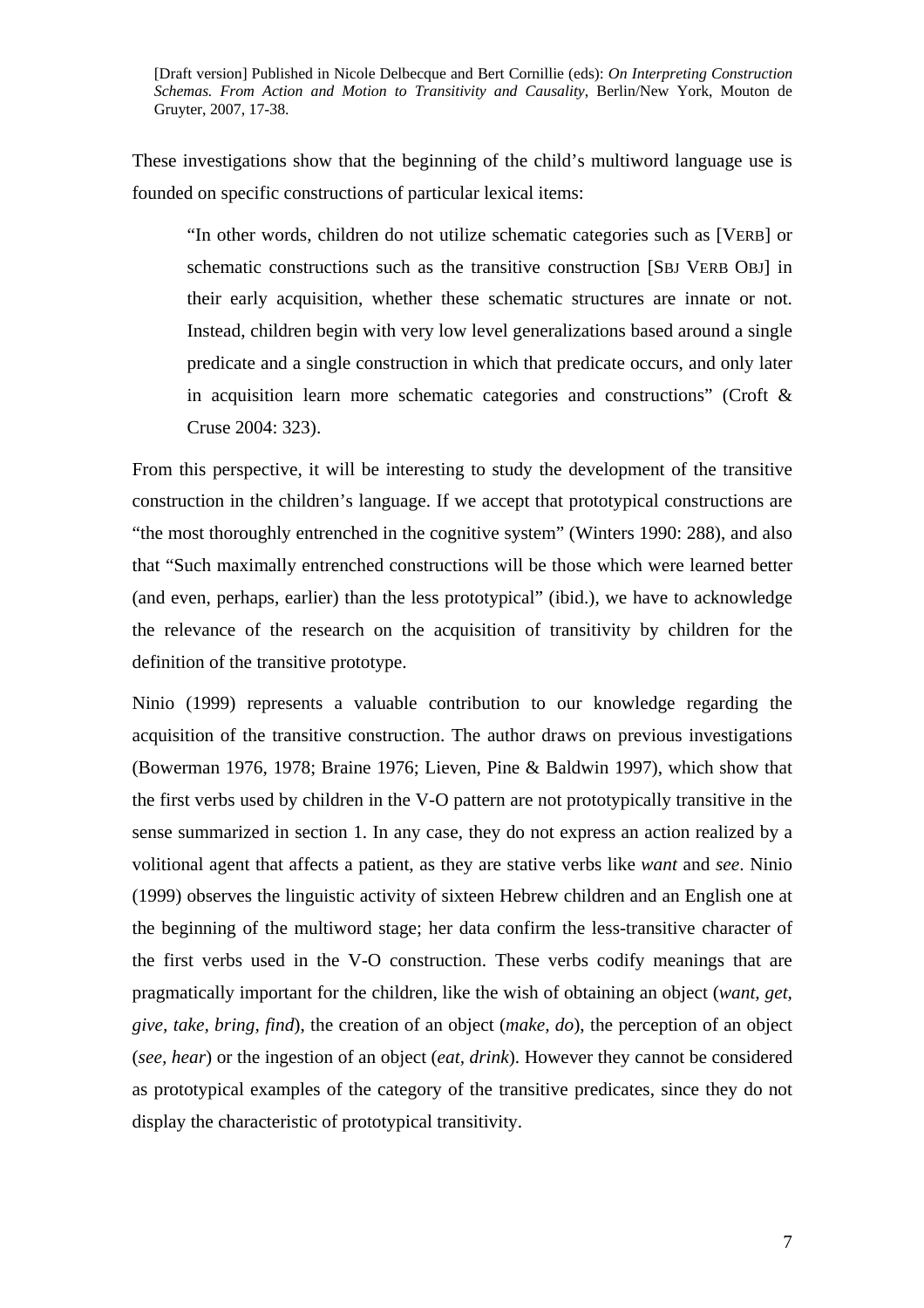These investigations show that the beginning of the child's multiword language use is founded on specific constructions of particular lexical items:

"In other words, children do not utilize schematic categories such as [VERB] or schematic constructions such as the transitive construction [SBJ VERB OBJ] in their early acquisition, whether these schematic structures are innate or not. Instead, children begin with very low level generalizations based around a single predicate and a single construction in which that predicate occurs, and only later in acquisition learn more schematic categories and constructions" (Croft & Cruse 2004: 323).

From this perspective, it will be interesting to study the development of the transitive construction in the children's language. If we accept that prototypical constructions are "the most thoroughly entrenched in the cognitive system" (Winters 1990: 288), and also that "Such maximally entrenched constructions will be those which were learned better (and even, perhaps, earlier) than the less prototypical" (ibid.), we have to acknowledge the relevance of the research on the acquisition of transitivity by children for the definition of the transitive prototype.

Ninio (1999) represents a valuable contribution to our knowledge regarding the acquisition of the transitive construction. The author draws on previous investigations (Bowerman 1976, 1978; Braine 1976; Lieven, Pine & Baldwin 1997), which show that the first verbs used by children in the V-O pattern are not prototypically transitive in the sense summarized in section 1. In any case, they do not express an action realized by a volitional agent that affects a patient, as they are stative verbs like *want* and *see*. Ninio (1999) observes the linguistic activity of sixteen Hebrew children and an English one at the beginning of the multiword stage; her data confirm the less-transitive character of the first verbs used in the V-O construction. These verbs codify meanings that are pragmatically important for the children, like the wish of obtaining an object (*want, get, give, take, bring, find*), the creation of an object (*make, do*), the perception of an object (*see, hear*) or the ingestion of an object (*eat, drink*). However they cannot be considered as prototypical examples of the category of the transitive predicates, since they do not display the characteristic of prototypical transitivity.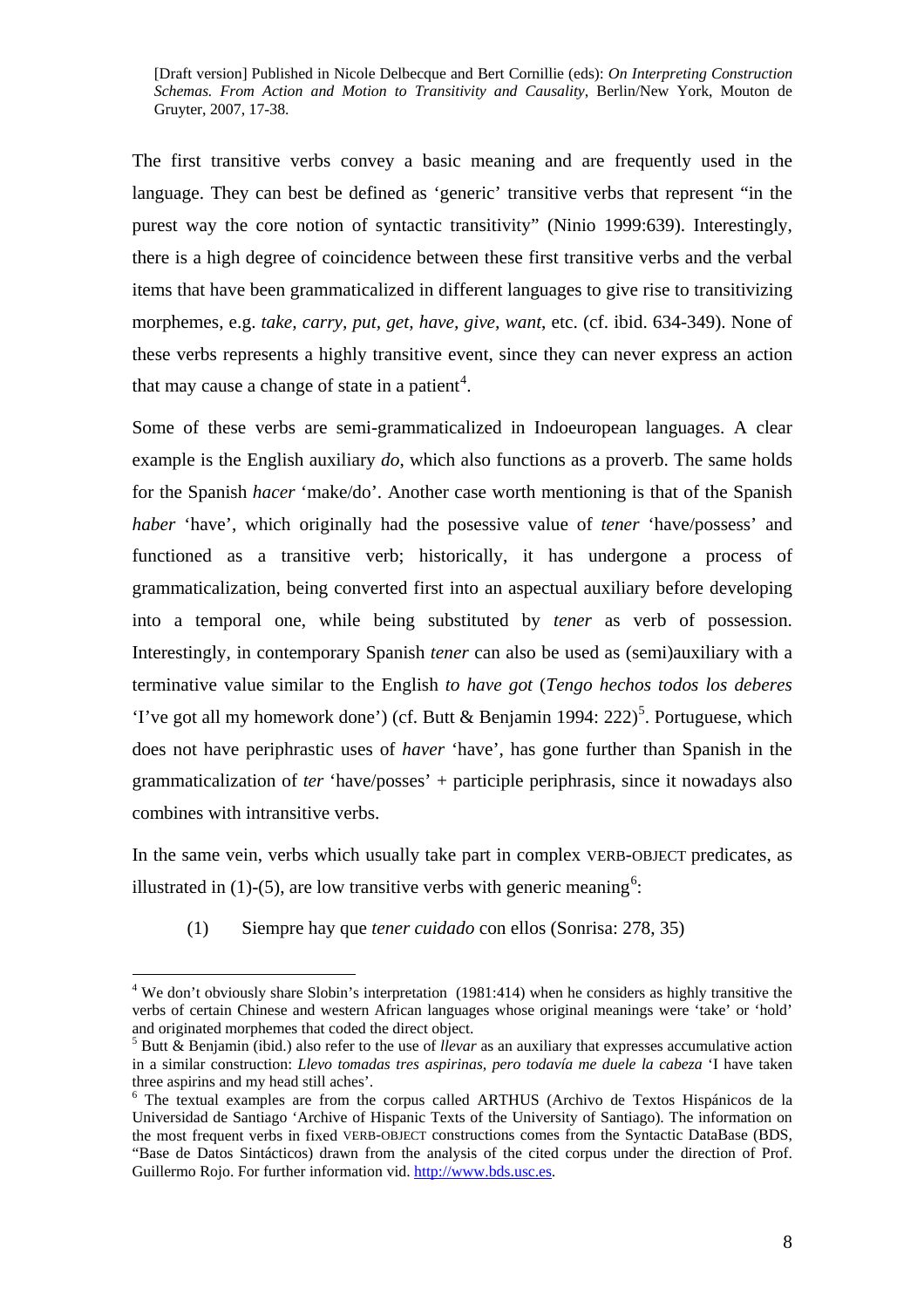The first transitive verbs convey a basic meaning and are frequently used in the language. They can best be defined as 'generic' transitive verbs that represent "in the purest way the core notion of syntactic transitivity" (Ninio 1999:639). Interestingly, there is a high degree of coincidence between these first transitive verbs and the verbal items that have been grammaticalized in different languages to give rise to transitivizing morphemes, e.g. *take, carry, put, get, have, give, want*, etc. (cf. ibid. 634-349). None of these verbs represents a highly transitive event, since they can never express an action that may cause a change of state in a patient<sup>[4](#page-7-0)</sup>.

Some of these verbs are semi-grammaticalized in Indoeuropean languages. A clear example is the English auxiliary *do*, which also functions as a proverb. The same holds for the Spanish *hacer* 'make/do'. Another case worth mentioning is that of the Spanish *haber* 'have', which originally had the posessive value of *tener* 'have/possess' and functioned as a transitive verb; historically, it has undergone a process of grammaticalization, being converted first into an aspectual auxiliary before developing into a temporal one, while being substituted by *tener* as verb of possession. Interestingly, in contemporary Spanish *tener* can also be used as (semi)auxiliary with a terminative value similar to the English *to have got* (*Tengo hechos todos los deberes* 'I've got all my homework done') (cf. Butt & Benjamin 1994:  $222)^5$  $222)^5$ . Portuguese, which does not have periphrastic uses of *haver* 'have', has gone further than Spanish in the grammaticalization of *ter* 'have/posses' + participle periphrasis, since it nowadays also combines with intransitive verbs.

In the same vein, verbs which usually take part in complex VERB-OBJECT predicates, as illustrated in  $(1)-(5)$ , are low transitive verbs with generic meaning<sup>[6](#page-7-2)</sup>:

(1) Siempre hay que *tener cuidado* con ellos (Sonrisa: 278, 35)

 $\overline{a}$ 

<span id="page-7-0"></span><sup>&</sup>lt;sup>4</sup> We don't obviously share Slobin's interpretation (1981:414) when he considers as highly transitive the verbs of certain Chinese and western African languages whose original meanings were 'take' or 'hold' and originated morphemes that coded the direct object.

<span id="page-7-1"></span><sup>&</sup>lt;sup>5</sup> Butt & Benjamin (ibid.) also refer to the use of *llevar* as an auxiliary that expresses accumulative action in a similar construction: *Llevo tomadas tres aspirinas, pero todavía me duele la cabeza* 'I have taken three aspirins and my head still aches'.

<span id="page-7-2"></span><sup>6</sup> The textual examples are from the corpus called ARTHUS (Archivo de Textos Hispánicos de la Universidad de Santiago 'Archive of Hispanic Texts of the University of Santiago). The information on the most frequent verbs in fixed VERB-OBJECT constructions comes from the Syntactic DataBase (BDS, "Base de Datos Sintácticos) drawn from the analysis of the cited corpus under the direction of Prof. Guillermo Rojo. For further information vid. http://www.bds.usc.es.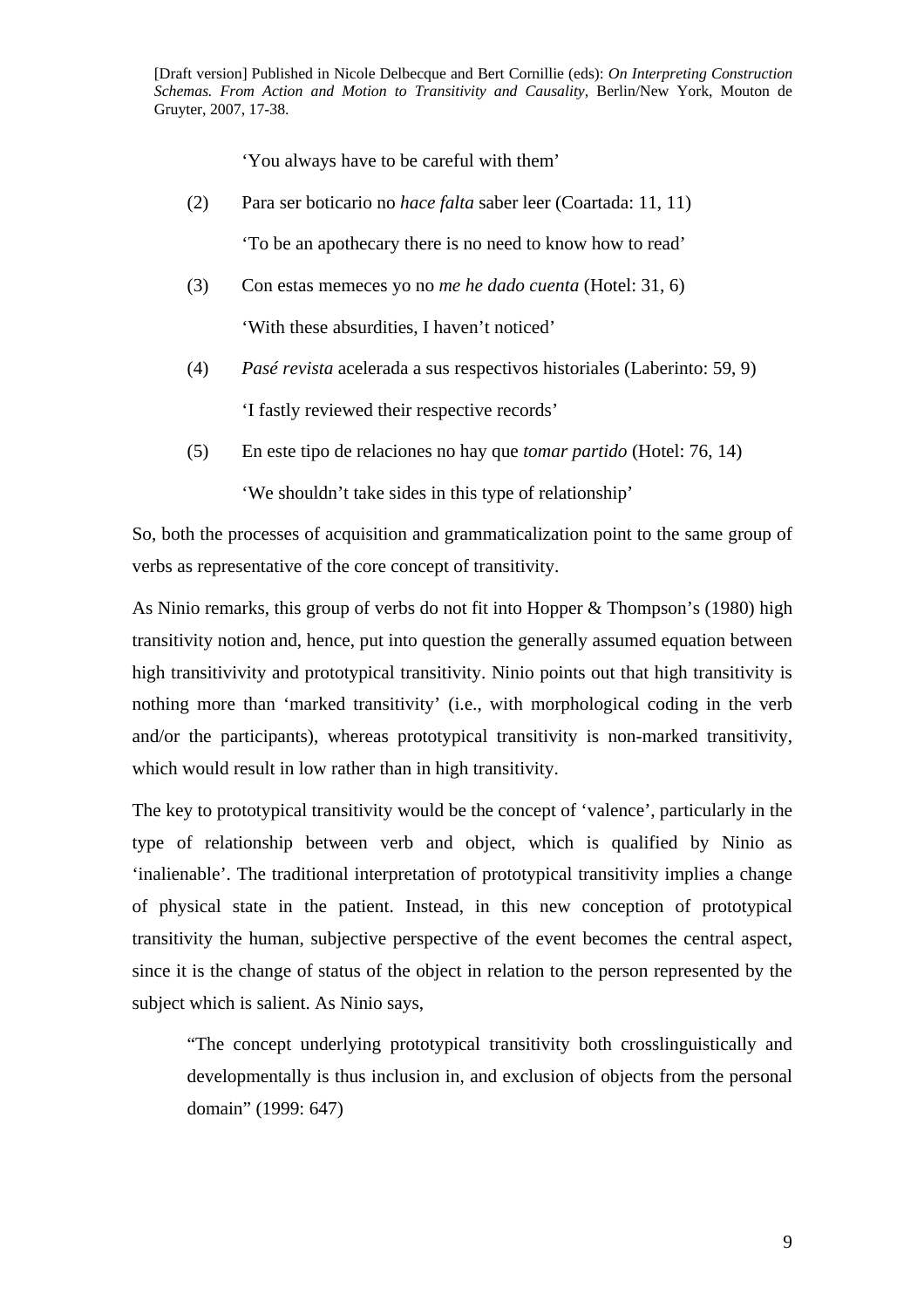'You always have to be careful with them'

- (2) Para ser boticario no *hace falta* saber leer (Coartada: 11, 11) 'To be an apothecary there is no need to know how to read'
- (3) Con estas memeces yo no *me he dado cuenta* (Hotel: 31, 6) 'With these absurdities, I haven't noticed'
- (4) *Pasé revista* acelerada a sus respectivos historiales (Laberinto: 59, 9) 'I fastly reviewed their respective records'
- (5) En este tipo de relaciones no hay que *tomar partido* (Hotel: 76, 14) 'We shouldn't take sides in this type of relationship'

So, both the processes of acquisition and grammaticalization point to the same group of verbs as representative of the core concept of transitivity.

As Ninio remarks, this group of verbs do not fit into Hopper & Thompson's (1980) high transitivity notion and, hence, put into question the generally assumed equation between high transitivivity and prototypical transitivity. Ninio points out that high transitivity is nothing more than 'marked transitivity' (i.e., with morphological coding in the verb and/or the participants), whereas prototypical transitivity is non-marked transitivity, which would result in low rather than in high transitivity.

The key to prototypical transitivity would be the concept of 'valence', particularly in the type of relationship between verb and object, which is qualified by Ninio as 'inalienable'. The traditional interpretation of prototypical transitivity implies a change of physical state in the patient. Instead, in this new conception of prototypical transitivity the human, subjective perspective of the event becomes the central aspect, since it is the change of status of the object in relation to the person represented by the subject which is salient. As Ninio says,

"The concept underlying prototypical transitivity both crosslinguistically and developmentally is thus inclusion in, and exclusion of objects from the personal domain" (1999: 647)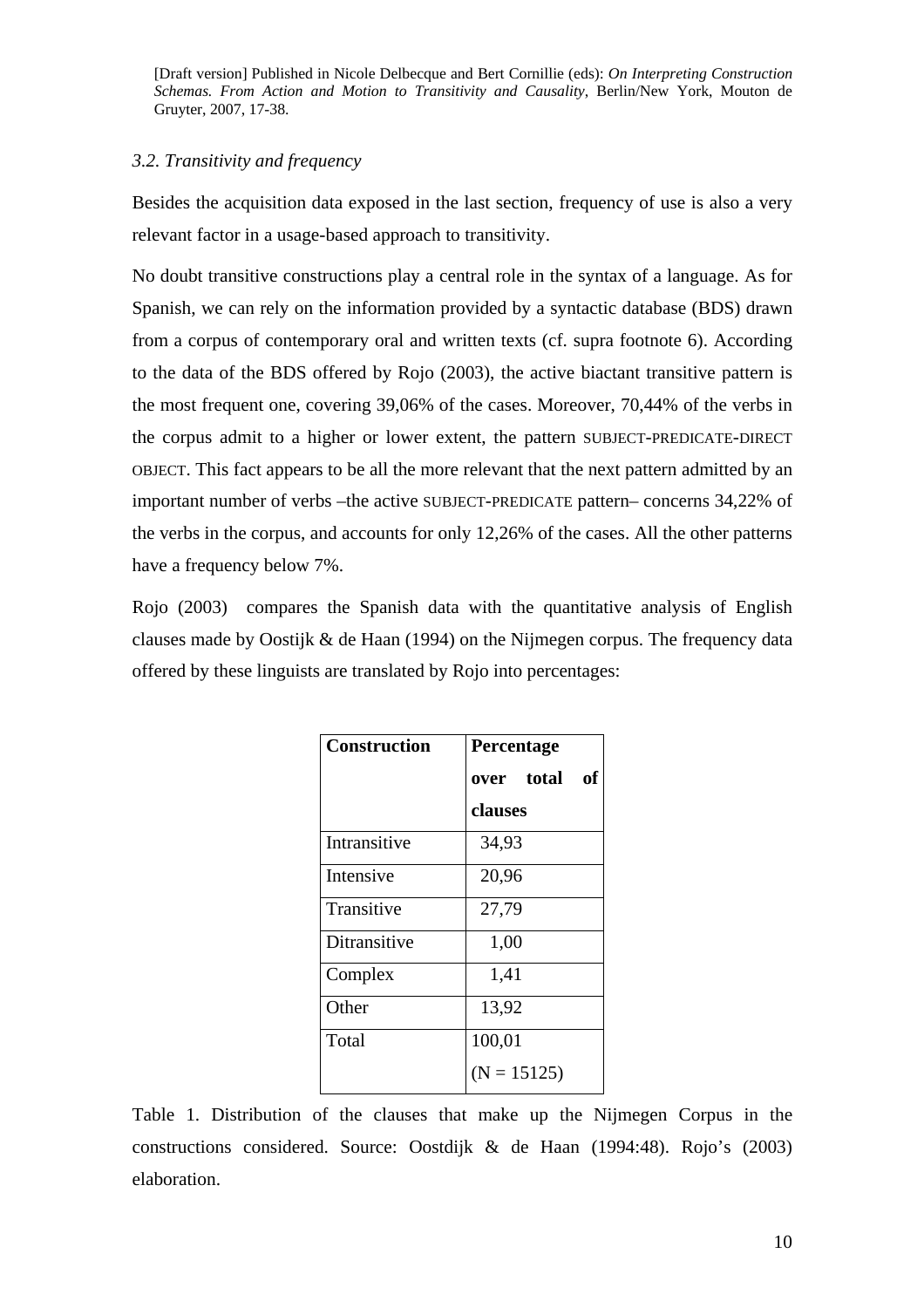## *3.2. Transitivity and frequency*

Besides the acquisition data exposed in the last section, frequency of use is also a very relevant factor in a usage-based approach to transitivity.

No doubt transitive constructions play a central role in the syntax of a language. As for Spanish, we can rely on the information provided by a syntactic database (BDS) drawn from a corpus of contemporary oral and written texts (cf. supra footnote 6). According to the data of the BDS offered by Rojo (2003), the active biactant transitive pattern is the most frequent one, covering 39,06% of the cases. Moreover, 70,44% of the verbs in the corpus admit to a higher or lower extent, the pattern SUBJECT-PREDICATE-DIRECT OBJECT. This fact appears to be all the more relevant that the next pattern admitted by an important number of verbs –the active SUBJECT-PREDICATE pattern– concerns 34,22% of the verbs in the corpus, and accounts for only 12,26% of the cases. All the other patterns have a frequency below 7%.

Rojo (2003) compares the Spanish data with the quantitative analysis of English clauses made by Oostijk & de Haan (1994) on the Nijmegen corpus. The frequency data offered by these linguists are translated by Rojo into percentages:

| <b>Construction</b> | Percentage       |  |
|---------------------|------------------|--|
|                     | of<br>over total |  |
|                     | clauses          |  |
| Intransitive        | 34,93            |  |
| Intensive           | 20,96            |  |
| Transitive          | 27,79            |  |
| Ditransitive        | 1,00             |  |
| Complex             | 1,41             |  |
| Other               | 13,92            |  |
| Total               | 100,01           |  |
|                     | $(N = 15125)$    |  |

Table 1. Distribution of the clauses that make up the Nijmegen Corpus in the constructions considered. Source: Oostdijk & de Haan (1994:48). Rojo's (2003) elaboration.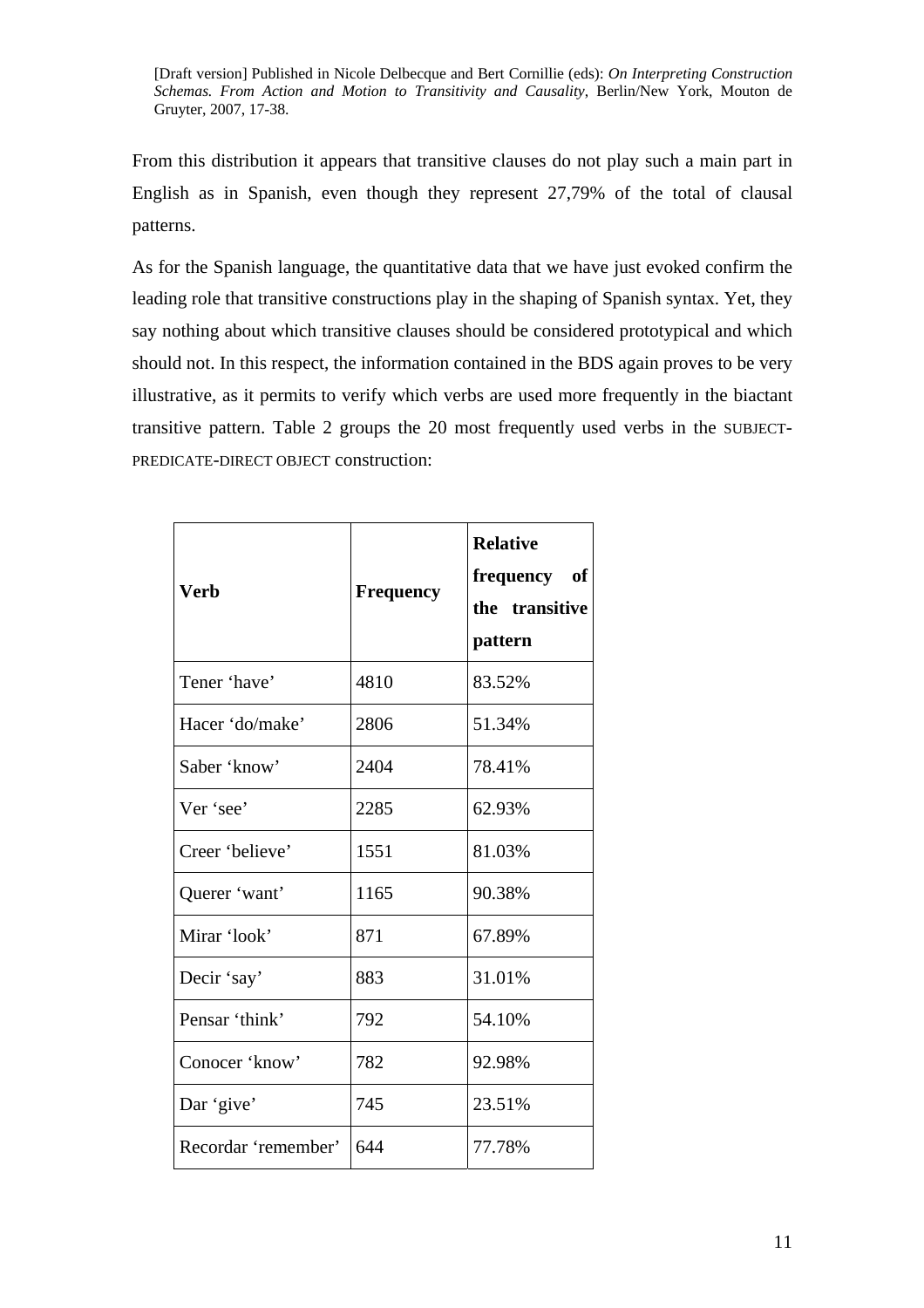From this distribution it appears that transitive clauses do not play such a main part in English as in Spanish, even though they represent 27,79% of the total of clausal patterns.

As for the Spanish language, the quantitative data that we have just evoked confirm the leading role that transitive constructions play in the shaping of Spanish syntax. Yet, they say nothing about which transitive clauses should be considered prototypical and which should not. In this respect, the information contained in the BDS again proves to be very illustrative, as it permits to verify which verbs are used more frequently in the biactant transitive pattern. Table 2 groups the 20 most frequently used verbs in the SUBJECT-PREDICATE-DIRECT OBJECT construction:

| <b>Verb</b>         | <b>Frequency</b> | <b>Relative</b><br>frequency of<br>the transitive<br>pattern |
|---------------------|------------------|--------------------------------------------------------------|
| Tener 'have'        | 4810             | 83.52%                                                       |
| Hacer 'do/make'     | 2806             | 51.34%                                                       |
| Saber 'know'        | 2404             | 78.41%                                                       |
| Ver 'see'           | 2285             | 62.93%                                                       |
| Creer 'believe'     | 1551             | 81.03%                                                       |
| Querer 'want'       | 1165             | 90.38%                                                       |
| Mirar 'look'        | 871              | 67.89%                                                       |
| Decir 'say'         | 883              | 31.01%                                                       |
| Pensar 'think'      | 792              | 54.10%                                                       |
| Conocer 'know'      | 782              | 92.98%                                                       |
| Dar 'give'          | 745              | 23.51%                                                       |
| Recordar 'remember' | 644              | 77.78%                                                       |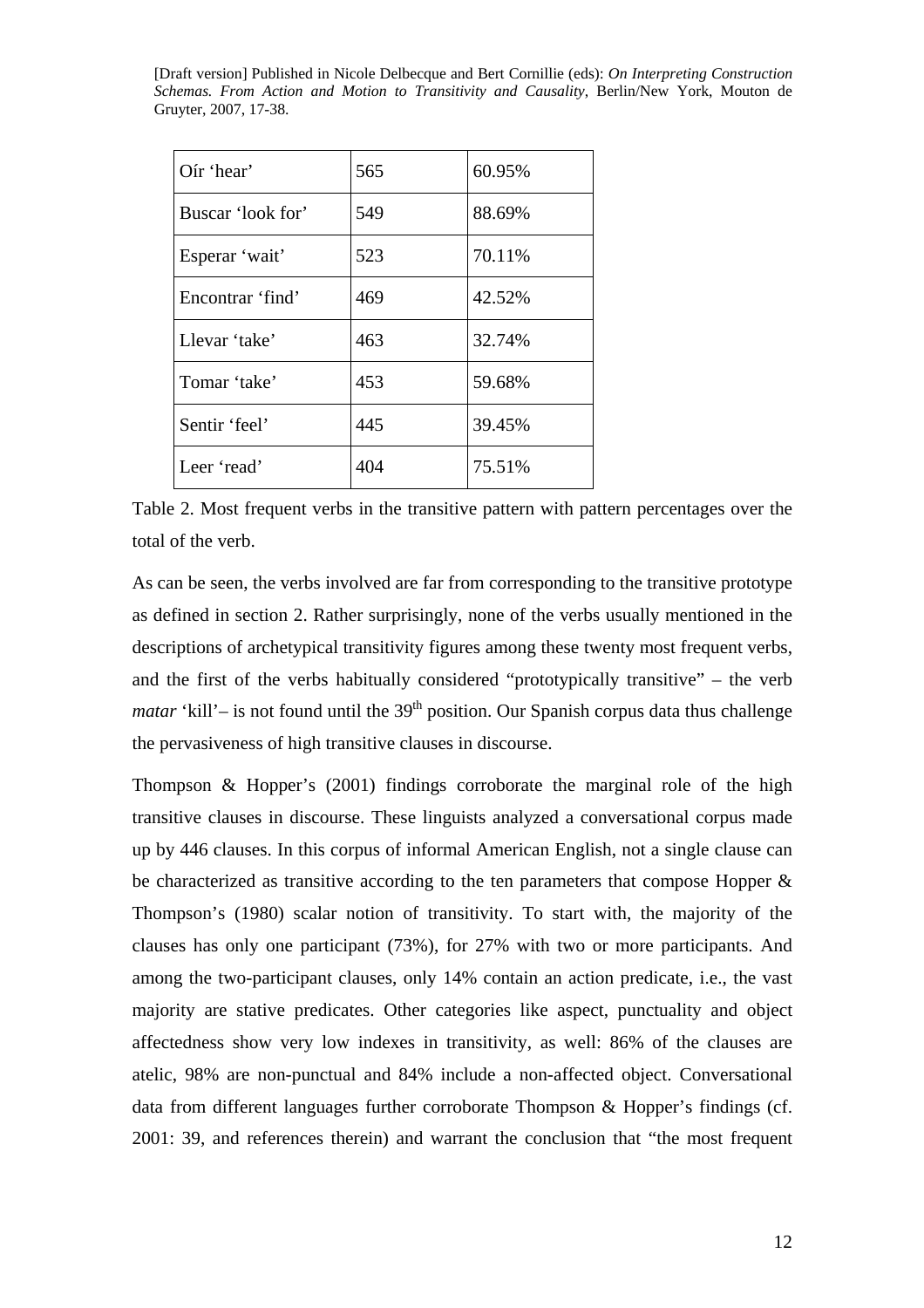| Oir 'hear'        | 565 | 60.95% |
|-------------------|-----|--------|
| Buscar 'look for' | 549 | 88.69% |
| Esperar 'wait'    | 523 | 70.11% |
| Encontrar 'find'  | 469 | 42.52% |
| Llevar 'take'     | 463 | 32.74% |
| Tomar 'take'      | 453 | 59.68% |
| Sentir 'feel'     | 445 | 39.45% |
| Leer 'read'       | 404 | 75.51% |

Table 2. Most frequent verbs in the transitive pattern with pattern percentages over the total of the verb.

As can be seen, the verbs involved are far from corresponding to the transitive prototype as defined in section 2. Rather surprisingly, none of the verbs usually mentioned in the descriptions of archetypical transitivity figures among these twenty most frequent verbs, and the first of the verbs habitually considered "prototypically transitive" – the verb *matar* 'kill'– is not found until the  $39<sup>th</sup>$  position. Our Spanish corpus data thus challenge the pervasiveness of high transitive clauses in discourse.

Thompson & Hopper's (2001) findings corroborate the marginal role of the high transitive clauses in discourse. These linguists analyzed a conversational corpus made up by 446 clauses. In this corpus of informal American English, not a single clause can be characterized as transitive according to the ten parameters that compose Hopper  $\&$ Thompson's (1980) scalar notion of transitivity. To start with, the majority of the clauses has only one participant (73%), for 27% with two or more participants. And among the two-participant clauses, only 14% contain an action predicate, i.e., the vast majority are stative predicates. Other categories like aspect, punctuality and object affectedness show very low indexes in transitivity, as well: 86% of the clauses are atelic, 98% are non-punctual and 84% include a non-affected object. Conversational data from different languages further corroborate Thompson & Hopper's findings (cf. 2001: 39, and references therein) and warrant the conclusion that "the most frequent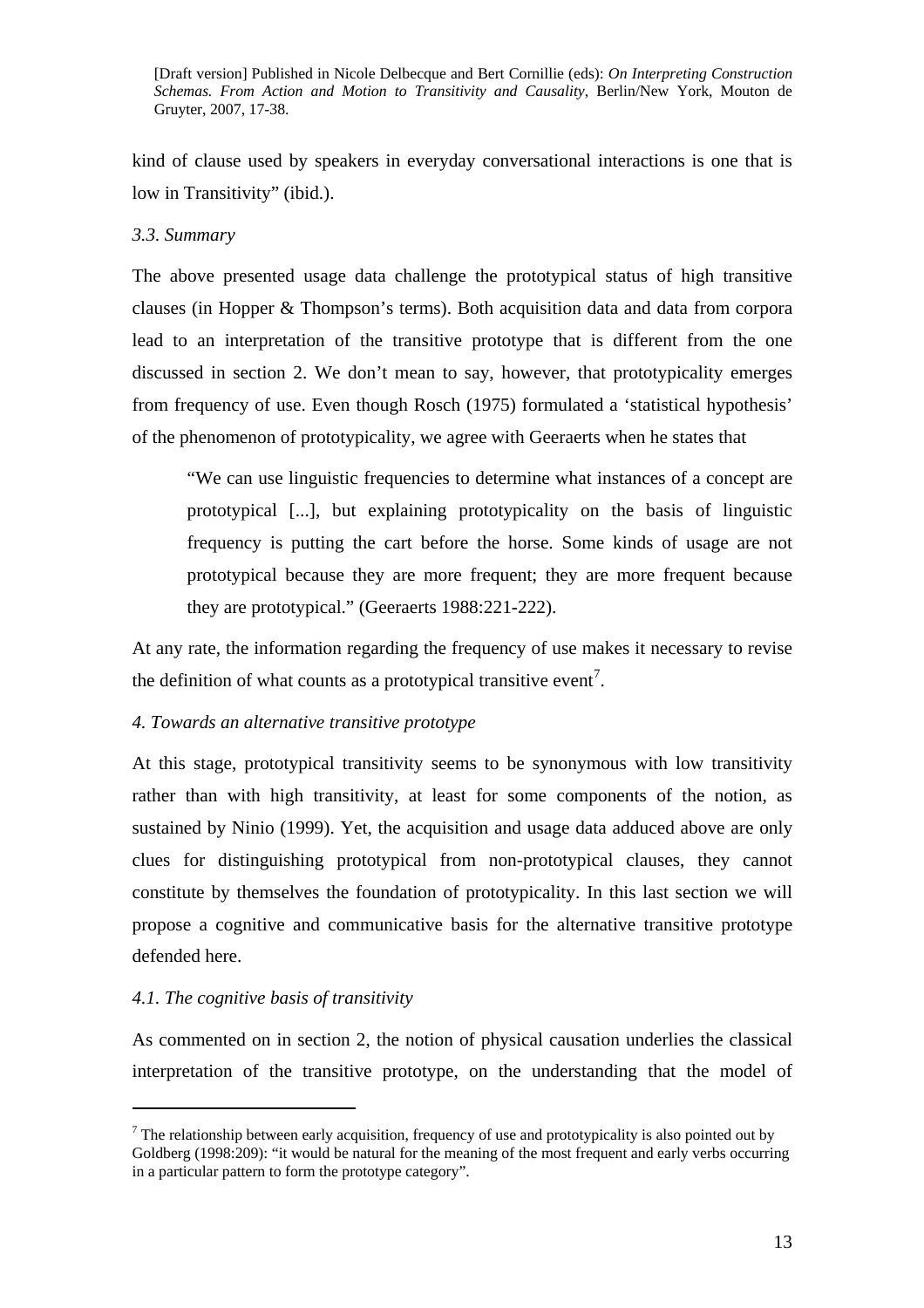kind of clause used by speakers in everyday conversational interactions is one that is low in Transitivity" (ibid.).

## *3.3. Summary*

The above presented usage data challenge the prototypical status of high transitive clauses (in Hopper & Thompson's terms). Both acquisition data and data from corpora lead to an interpretation of the transitive prototype that is different from the one discussed in section 2. We don't mean to say, however, that prototypicality emerges from frequency of use. Even though Rosch (1975) formulated a 'statistical hypothesis' of the phenomenon of prototypicality, we agree with Geeraerts when he states that

"We can use linguistic frequencies to determine what instances of a concept are prototypical [...], but explaining prototypicality on the basis of linguistic frequency is putting the cart before the horse. Some kinds of usage are not prototypical because they are more frequent; they are more frequent because they are prototypical." (Geeraerts 1988:221-222).

At any rate, the information regarding the frequency of use makes it necessary to revise the definition of what counts as a prototypical transitive event<sup>[7](#page-12-0)</sup>.

# *4. Towards an alternative transitive prototype*

At this stage, prototypical transitivity seems to be synonymous with low transitivity rather than with high transitivity, at least for some components of the notion, as sustained by Ninio (1999). Yet, the acquisition and usage data adduced above are only clues for distinguishing prototypical from non-prototypical clauses, they cannot constitute by themselves the foundation of prototypicality. In this last section we will propose a cognitive and communicative basis for the alternative transitive prototype defended here.

# *4.1. The cognitive basis of transitivity*

 $\overline{a}$ 

As commented on in section 2, the notion of physical causation underlies the classical interpretation of the transitive prototype, on the understanding that the model of

<span id="page-12-0"></span> $<sup>7</sup>$  The relationship between early acquisition, frequency of use and prototypicality is also pointed out by</sup> Goldberg (1998:209): "it would be natural for the meaning of the most frequent and early verbs occurring in a particular pattern to form the prototype category".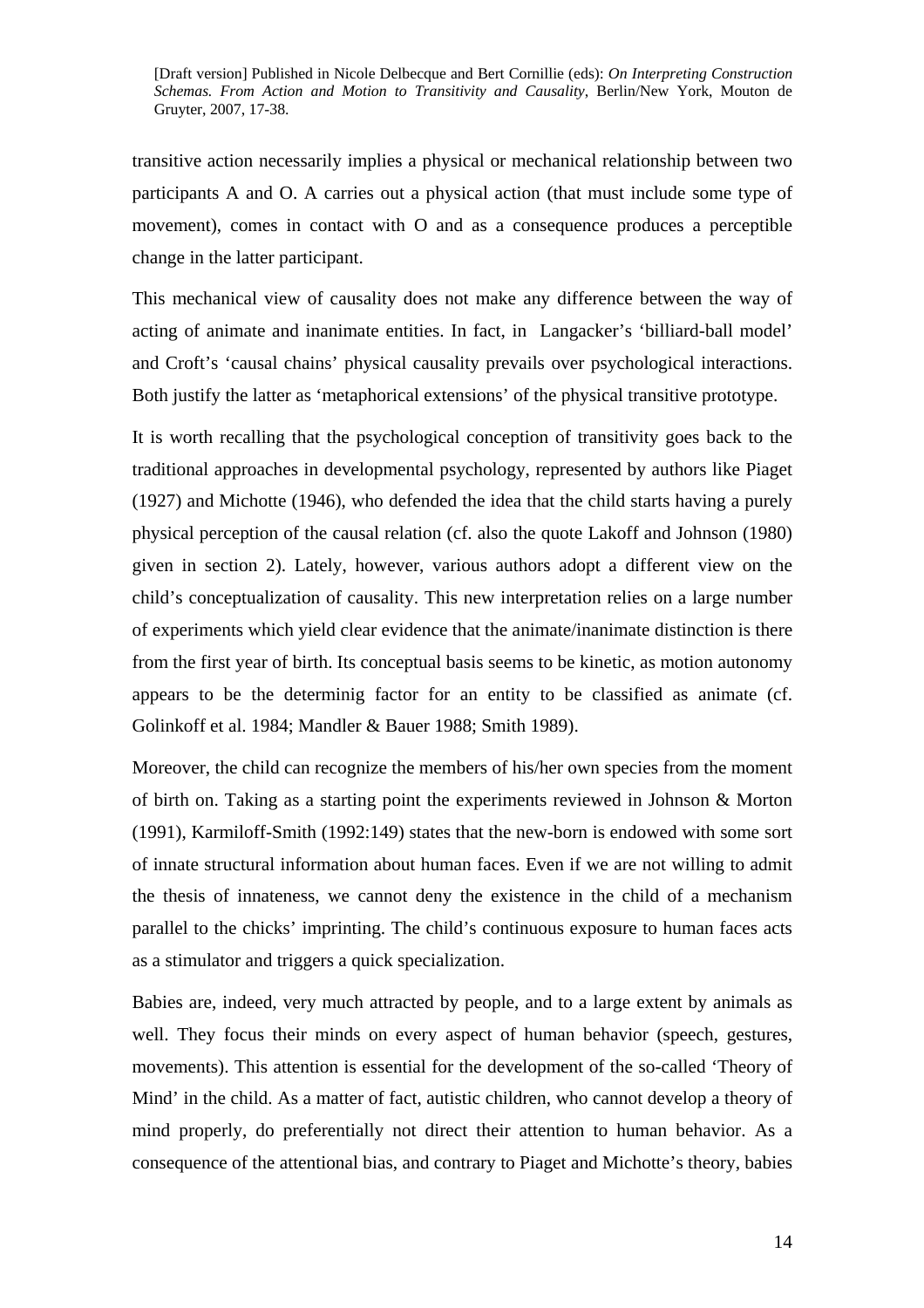transitive action necessarily implies a physical or mechanical relationship between two participants A and O. A carries out a physical action (that must include some type of movement), comes in contact with O and as a consequence produces a perceptible change in the latter participant.

This mechanical view of causality does not make any difference between the way of acting of animate and inanimate entities. In fact, in Langacker's 'billiard-ball model' and Croft's 'causal chains' physical causality prevails over psychological interactions. Both justify the latter as 'metaphorical extensions' of the physical transitive prototype.

It is worth recalling that the psychological conception of transitivity goes back to the traditional approaches in developmental psychology, represented by authors like Piaget (1927) and Michotte (1946), who defended the idea that the child starts having a purely physical perception of the causal relation (cf. also the quote Lakoff and Johnson (1980) given in section 2). Lately, however, various authors adopt a different view on the child's conceptualization of causality. This new interpretation relies on a large number of experiments which yield clear evidence that the animate/inanimate distinction is there from the first year of birth. Its conceptual basis seems to be kinetic, as motion autonomy appears to be the determinig factor for an entity to be classified as animate (cf. Golinkoff et al. 1984; Mandler & Bauer 1988; Smith 1989).

Moreover, the child can recognize the members of his/her own species from the moment of birth on. Taking as a starting point the experiments reviewed in Johnson & Morton (1991), Karmiloff-Smith (1992:149) states that the new-born is endowed with some sort of innate structural information about human faces. Even if we are not willing to admit the thesis of innateness, we cannot deny the existence in the child of a mechanism parallel to the chicks' imprinting. The child's continuous exposure to human faces acts as a stimulator and triggers a quick specialization.

Babies are, indeed, very much attracted by people, and to a large extent by animals as well. They focus their minds on every aspect of human behavior (speech, gestures, movements). This attention is essential for the development of the so-called 'Theory of Mind' in the child. As a matter of fact, autistic children, who cannot develop a theory of mind properly, do preferentially not direct their attention to human behavior. As a consequence of the attentional bias, and contrary to Piaget and Michotte's theory, babies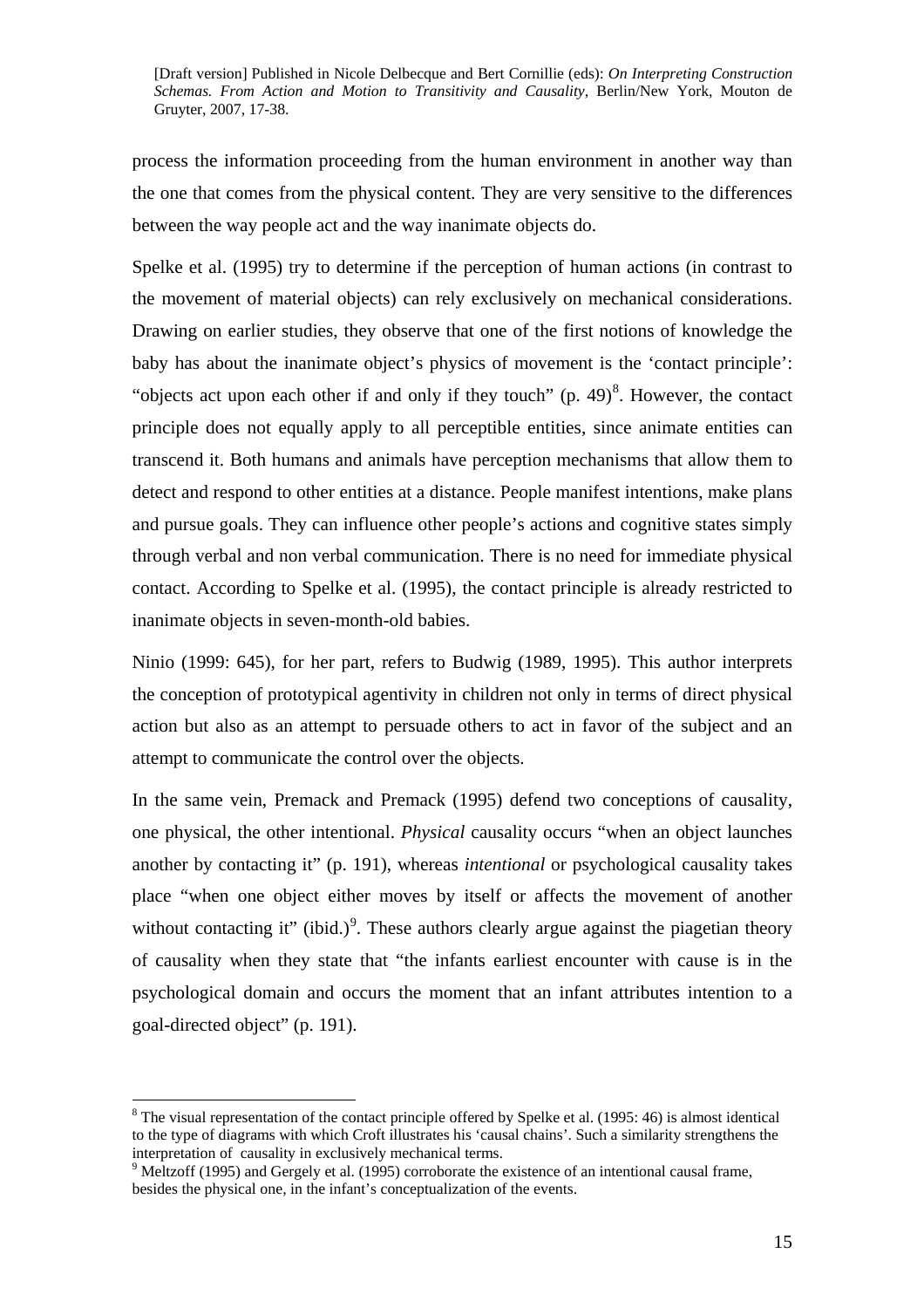process the information proceeding from the human environment in another way than the one that comes from the physical content. They are very sensitive to the differences between the way people act and the way inanimate objects do.

Spelke et al. (1995) try to determine if the perception of human actions (in contrast to the movement of material objects) can rely exclusively on mechanical considerations. Drawing on earlier studies, they observe that one of the first notions of knowledge the baby has about the inanimate object's physics of movement is the 'contact principle': "objects act upon each other if and only if they touch"  $(p. 49)^8$  $(p. 49)^8$ . However, the contact principle does not equally apply to all perceptible entities, since animate entities can transcend it. Both humans and animals have perception mechanisms that allow them to detect and respond to other entities at a distance. People manifest intentions, make plans and pursue goals. They can influence other people's actions and cognitive states simply through verbal and non verbal communication. There is no need for immediate physical contact. According to Spelke et al. (1995), the contact principle is already restricted to inanimate objects in seven-month-old babies.

Ninio (1999: 645), for her part, refers to Budwig (1989, 1995). This author interprets the conception of prototypical agentivity in children not only in terms of direct physical action but also as an attempt to persuade others to act in favor of the subject and an attempt to communicate the control over the objects.

In the same vein, Premack and Premack (1995) defend two conceptions of causality, one physical, the other intentional. *Physical* causality occurs "when an object launches another by contacting it" (p. 191), whereas *intentional* or psychological causality takes place "when one object either moves by itself or affects the movement of another without contacting it" (ibid.)<sup>[9](#page-14-1)</sup>. These authors clearly argue against the piagetian theory of causality when they state that "the infants earliest encounter with cause is in the psychological domain and occurs the moment that an infant attributes intention to a goal-directed object" (p. 191).

 $\overline{a}$ 

<span id="page-14-0"></span> $8$  The visual representation of the contact principle offered by Spelke et al. (1995: 46) is almost identical to the type of diagrams with which Croft illustrates his 'causal chains'. Such a similarity strengthens the interpretation of causality in exclusively mechanical terms.

<span id="page-14-1"></span> $9$  Meltzoff (1995) and Gergely et al. (1995) corroborate the existence of an intentional causal frame, besides the physical one, in the infant's conceptualization of the events.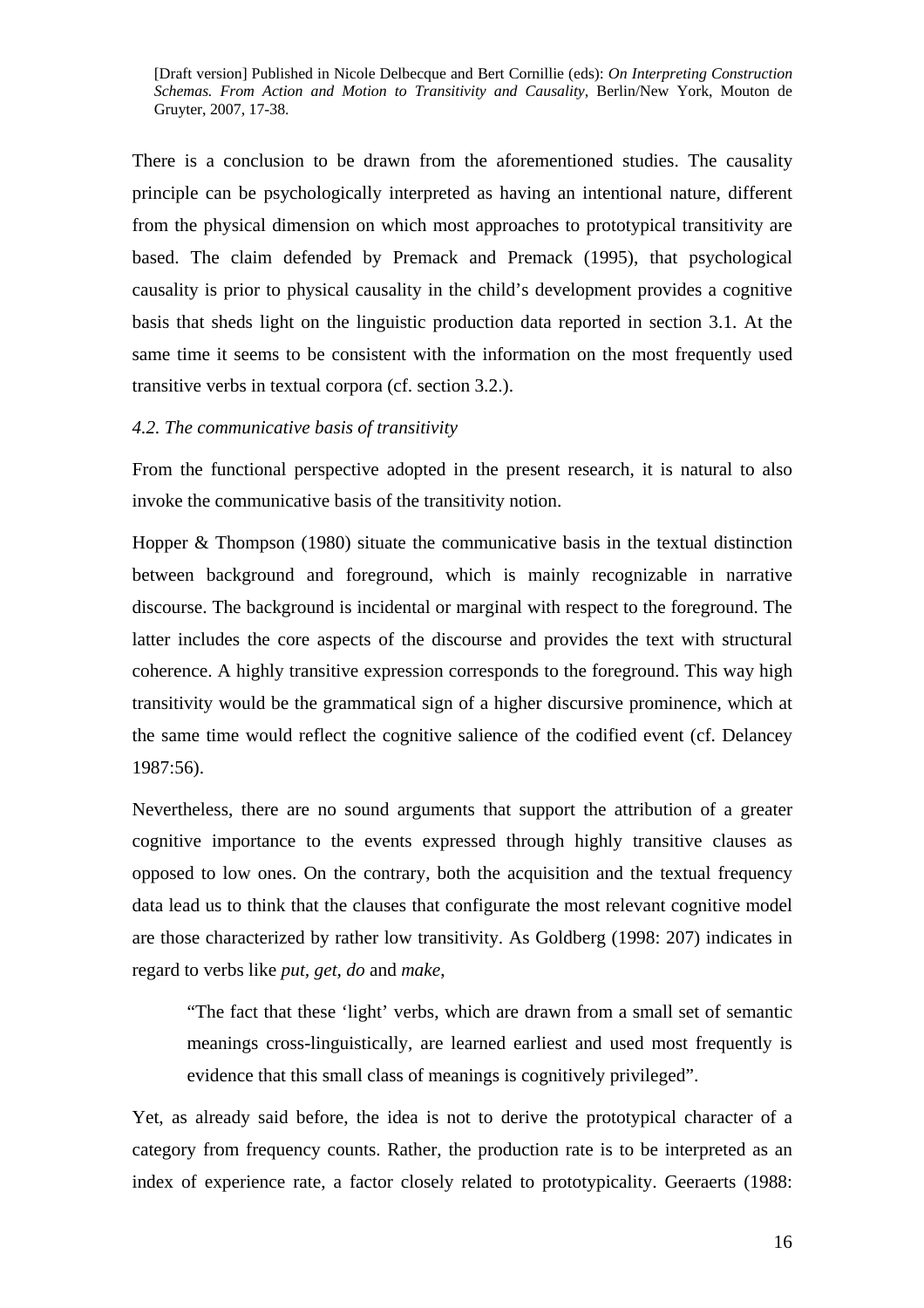There is a conclusion to be drawn from the aforementioned studies. The causality principle can be psychologically interpreted as having an intentional nature, different from the physical dimension on which most approaches to prototypical transitivity are based. The claim defended by Premack and Premack (1995), that psychological causality is prior to physical causality in the child's development provides a cognitive basis that sheds light on the linguistic production data reported in section 3.1. At the same time it seems to be consistent with the information on the most frequently used transitive verbs in textual corpora (cf. section 3.2.).

#### *4.2. The communicative basis of transitivity*

From the functional perspective adopted in the present research, it is natural to also invoke the communicative basis of the transitivity notion.

Hopper & Thompson (1980) situate the communicative basis in the textual distinction between background and foreground, which is mainly recognizable in narrative discourse. The background is incidental or marginal with respect to the foreground. The latter includes the core aspects of the discourse and provides the text with structural coherence. A highly transitive expression corresponds to the foreground. This way high transitivity would be the grammatical sign of a higher discursive prominence, which at the same time would reflect the cognitive salience of the codified event (cf. Delancey 1987:56).

Nevertheless, there are no sound arguments that support the attribution of a greater cognitive importance to the events expressed through highly transitive clauses as opposed to low ones. On the contrary, both the acquisition and the textual frequency data lead us to think that the clauses that configurate the most relevant cognitive model are those characterized by rather low transitivity. As Goldberg (1998: 207) indicates in regard to verbs like *put, get, do* and *make*,

"The fact that these 'light' verbs, which are drawn from a small set of semantic meanings cross-linguistically, are learned earliest and used most frequently is evidence that this small class of meanings is cognitively privileged".

Yet, as already said before, the idea is not to derive the prototypical character of a category from frequency counts. Rather, the production rate is to be interpreted as an index of experience rate, a factor closely related to prototypicality. Geeraerts (1988: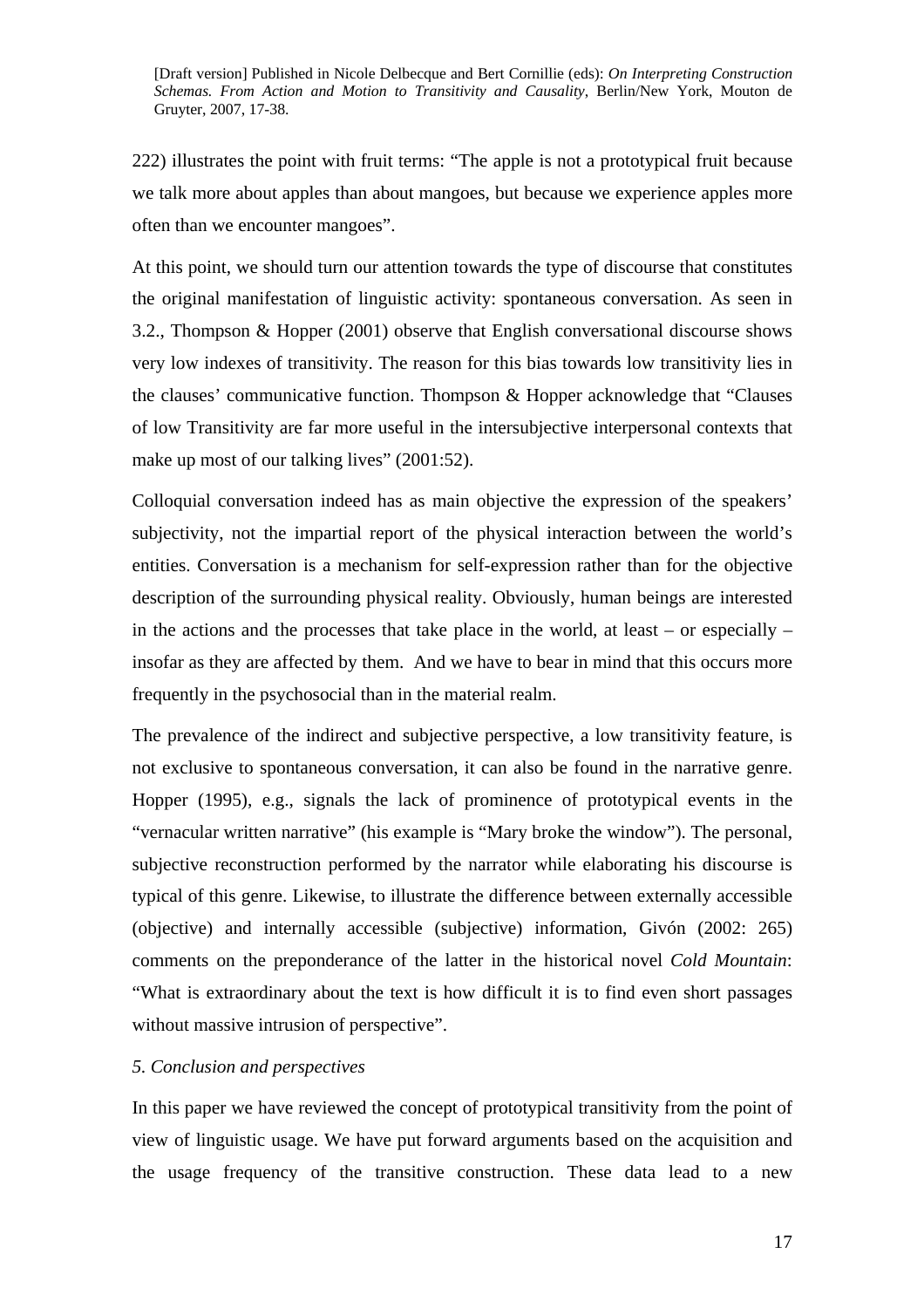222) illustrates the point with fruit terms: "The apple is not a prototypical fruit because we talk more about apples than about mangoes, but because we experience apples more often than we encounter mangoes".

At this point, we should turn our attention towards the type of discourse that constitutes the original manifestation of linguistic activity: spontaneous conversation. As seen in 3.2., Thompson & Hopper (2001) observe that English conversational discourse shows very low indexes of transitivity. The reason for this bias towards low transitivity lies in the clauses' communicative function. Thompson & Hopper acknowledge that "Clauses of low Transitivity are far more useful in the intersubjective interpersonal contexts that make up most of our talking lives" (2001:52).

Colloquial conversation indeed has as main objective the expression of the speakers' subjectivity, not the impartial report of the physical interaction between the world's entities. Conversation is a mechanism for self-expression rather than for the objective description of the surrounding physical reality. Obviously, human beings are interested in the actions and the processes that take place in the world, at least – or especially – insofar as they are affected by them. And we have to bear in mind that this occurs more frequently in the psychosocial than in the material realm.

The prevalence of the indirect and subjective perspective, a low transitivity feature, is not exclusive to spontaneous conversation, it can also be found in the narrative genre. Hopper (1995), e.g., signals the lack of prominence of prototypical events in the "vernacular written narrative" (his example is "Mary broke the window"). The personal, subjective reconstruction performed by the narrator while elaborating his discourse is typical of this genre. Likewise, to illustrate the difference between externally accessible (objective) and internally accessible (subjective) information, Givón (2002: 265) comments on the preponderance of the latter in the historical novel *Cold Mountain*: "What is extraordinary about the text is how difficult it is to find even short passages without massive intrusion of perspective".

# *5. Conclusion and perspectives*

In this paper we have reviewed the concept of prototypical transitivity from the point of view of linguistic usage. We have put forward arguments based on the acquisition and the usage frequency of the transitive construction. These data lead to a new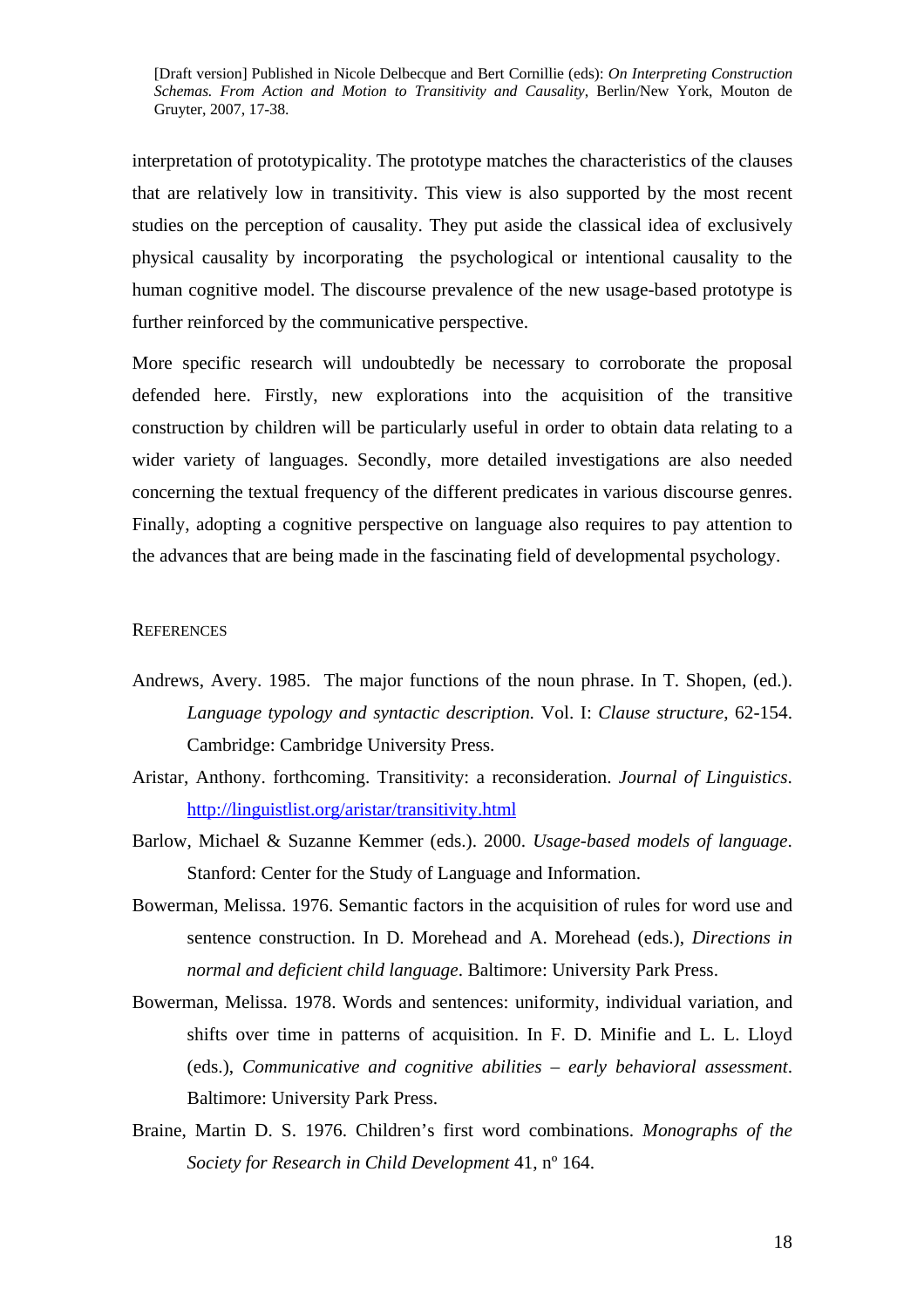interpretation of prototypicality. The prototype matches the characteristics of the clauses that are relatively low in transitivity. This view is also supported by the most recent studies on the perception of causality. They put aside the classical idea of exclusively physical causality by incorporating the psychological or intentional causality to the human cognitive model. The discourse prevalence of the new usage-based prototype is further reinforced by the communicative perspective.

More specific research will undoubtedly be necessary to corroborate the proposal defended here. Firstly, new explorations into the acquisition of the transitive construction by children will be particularly useful in order to obtain data relating to a wider variety of languages. Secondly, more detailed investigations are also needed concerning the textual frequency of the different predicates in various discourse genres. Finally, adopting a cognitive perspective on language also requires to pay attention to the advances that are being made in the fascinating field of developmental psychology.

#### **REFERENCES**

- Andrews, Avery. 1985. The major functions of the noun phrase. In T. Shopen, (ed.). *Language typology and syntactic description.* Vol. I: *Clause structure*, 62-154. Cambridge: Cambridge University Press.
- Aristar, Anthony. forthcoming. Transitivity: a reconsideration. *Journal of Linguistics*. http://linguistlist.org/aristar/transitivity.html
- Barlow, Michael & Suzanne Kemmer (eds.). 2000. *Usage-based models of language*. Stanford: Center for the Study of Language and Information.
- Bowerman, Melissa. 1976. Semantic factors in the acquisition of rules for word use and sentence construction. In D. Morehead and A. Morehead (eds.), *Directions in normal and deficient child language*. Baltimore: University Park Press.
- Bowerman, Melissa. 1978. Words and sentences: uniformity, individual variation, and shifts over time in patterns of acquisition. In F. D. Minifie and L. L. Lloyd (eds.), *Communicative and cognitive abilities – early behavioral assessment*. Baltimore: University Park Press.
- Braine, Martin D. S. 1976. Children's first word combinations. *Monographs of the Society for Research in Child Development* 41, nº 164.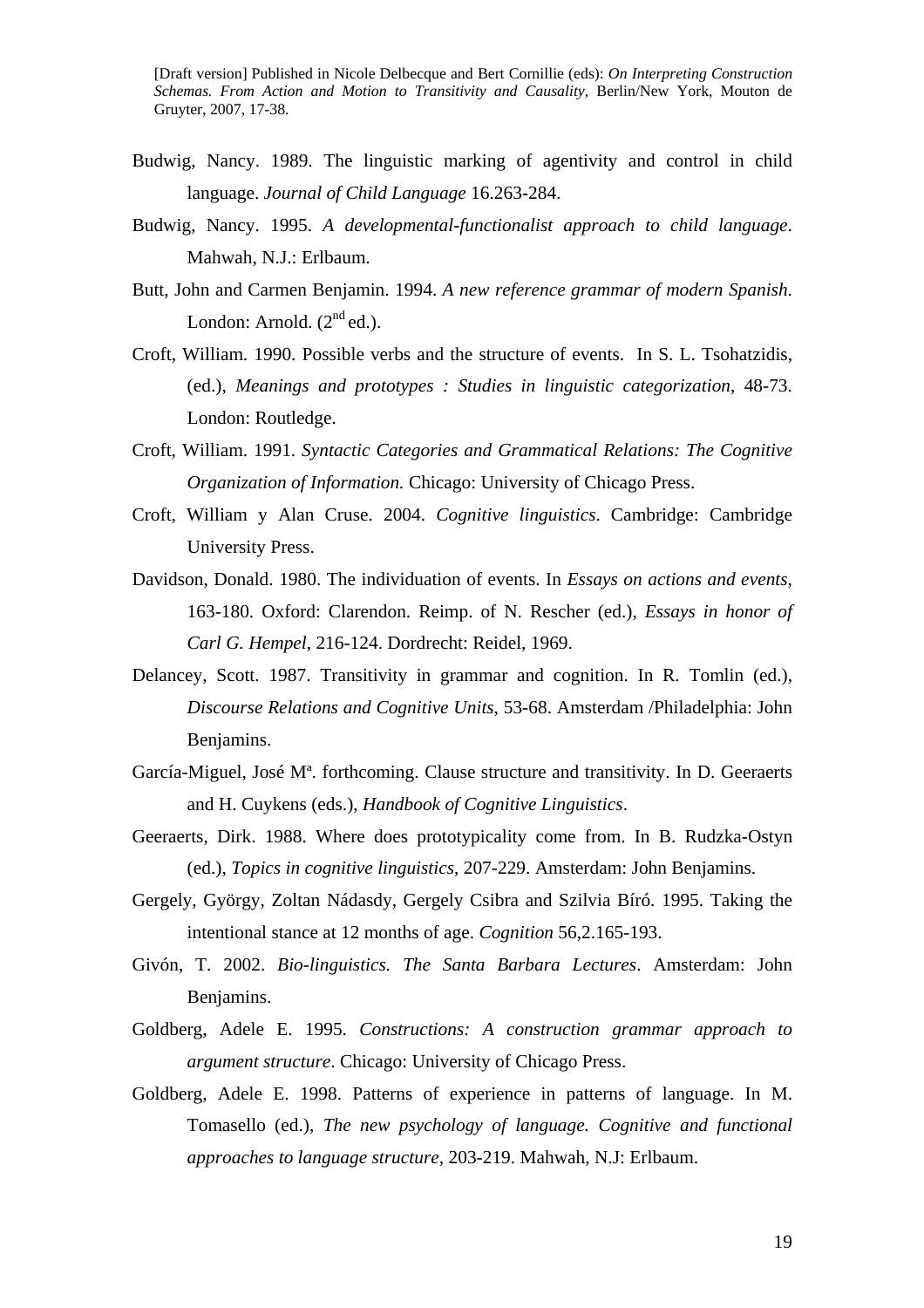- Budwig, Nancy. 1989. The linguistic marking of agentivity and control in child language. *Journal of Child Language* 16.263-284.
- Budwig, Nancy. 1995. *A developmental-functionalist approach to child language*. Mahwah, N.J.: Erlbaum.
- Butt, John and Carmen Benjamin. 1994. *A new reference grammar of modern Spanish*. London: Arnold.  $(2^{nd}$ ed.).
- Croft, William. 1990. Possible verbs and the structure of events. In S. L. Tsohatzidis, (ed.), *Meanings and prototypes : Studies in linguistic categorization*, 48-73. London: Routledge.
- Croft, William. 1991. *Syntactic Categories and Grammatical Relations: The Cognitive Organization of Information.* Chicago: University of Chicago Press.
- Croft, William y Alan Cruse. 2004. *Cognitive linguistics*. Cambridge: Cambridge University Press.
- Davidson, Donald. 1980. The individuation of events. In *Essays on actions and events*, 163-180. Oxford: Clarendon. Reimp. of N. Rescher (ed.), *Essays in honor of Carl G. Hempel*, 216-124. Dordrecht: Reidel, 1969.
- Delancey, Scott. 1987. Transitivity in grammar and cognition. In R. Tomlin (ed.), *Discourse Relations and Cognitive Units*, 53-68. Amsterdam /Philadelphia: John Benjamins.
- García-Miguel, José Mª. forthcoming. Clause structure and transitivity. In D. Geeraerts and H. Cuykens (eds.), *Handbook of Cognitive Linguistics*.
- Geeraerts, Dirk. 1988. Where does prototypicality come from. In B. Rudzka-Ostyn (ed.), *Topics in cognitive linguistics*, 207-229. Amsterdam: John Benjamins.
- Gergely, György, Zoltan Nádasdy, Gergely Csibra and Szilvia Bíró. 1995. Taking the intentional stance at 12 months of age. *Cognition* 56,2.165-193.
- Givón, T. 2002. *Bio-linguistics. The Santa Barbara Lectures*. Amsterdam: John Benjamins.
- Goldberg, Adele E. 1995. *Constructions: A construction grammar approach to argument structure*. Chicago: University of Chicago Press.
- Goldberg, Adele E. 1998. Patterns of experience in patterns of language. In M. Tomasello (ed.), *The new psychology of language. Cognitive and functional approaches to language structure*, 203-219. Mahwah, N.J: Erlbaum.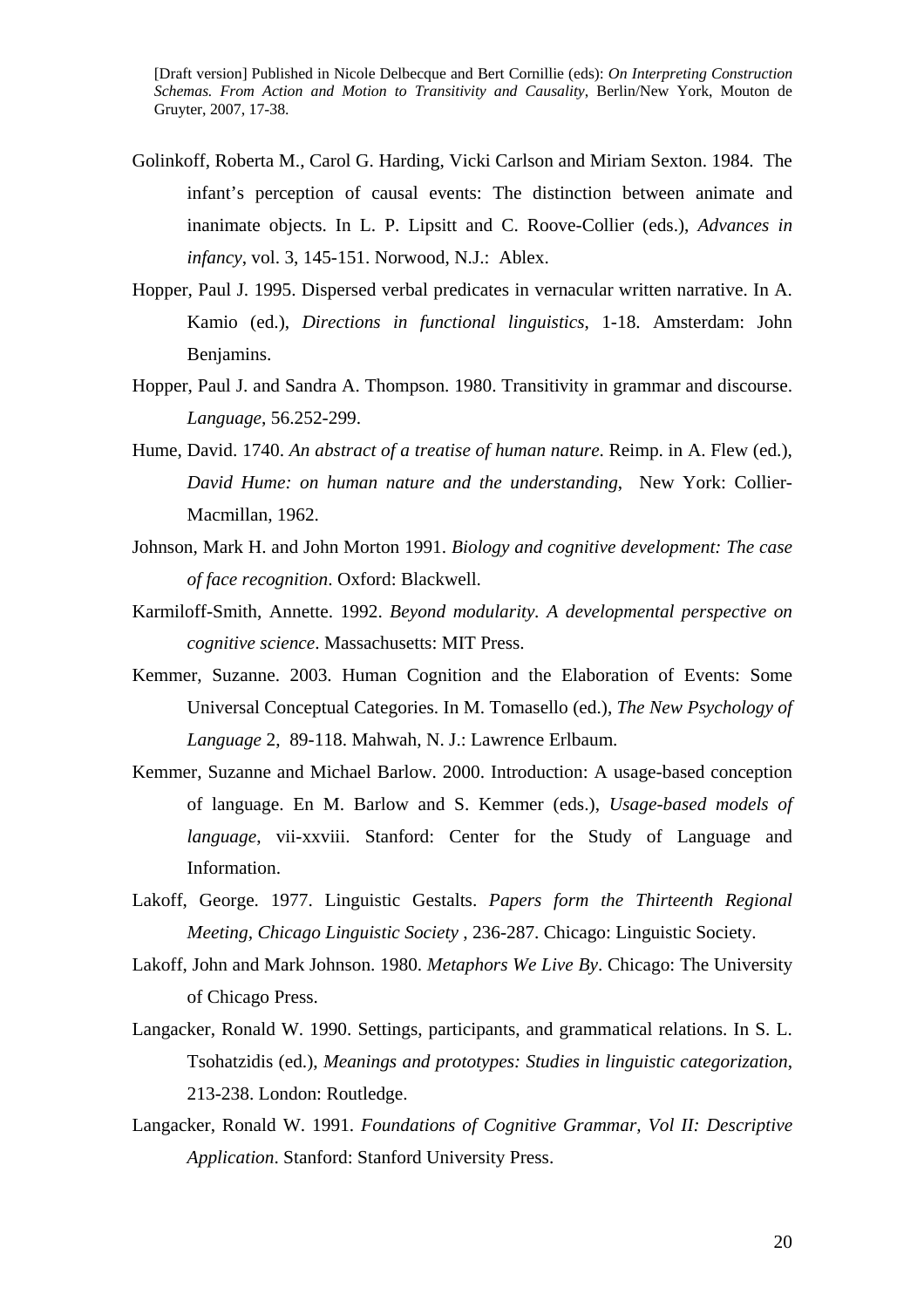- Golinkoff, Roberta M., Carol G. Harding, Vicki Carlson and Miriam Sexton. 1984. The infant's perception of causal events: The distinction between animate and inanimate objects. In L. P. Lipsitt and C. Roove-Collier (eds.), *Advances in infancy*, vol. 3, 145-151. Norwood, N.J.: Ablex.
- Hopper, Paul J. 1995. Dispersed verbal predicates in vernacular written narrative. In A. Kamio (ed.), *Directions in functional linguistics*, 1-18. Amsterdam: John Benjamins.
- Hopper, Paul J. and Sandra A. Thompson. 1980. Transitivity in grammar and discourse. *Language*, 56.252-299.
- Hume, David. 1740. *An abstract of a treatise of human nature*. Reimp. in A. Flew (ed.), *David Hume: on human nature and the understanding*, New York: Collier-Macmillan, 1962.
- Johnson, Mark H. and John Morton 1991. *Biology and cognitive development: The case of face recognition*. Oxford: Blackwell.
- Karmiloff-Smith, Annette. 1992. *Beyond modularity. A developmental perspective on cognitive science*. Massachusetts: MIT Press.
- Kemmer, Suzanne. 2003. Human Cognition and the Elaboration of Events: Some Universal Conceptual Categories. In M. Tomasello (ed.), *The New Psychology of Language* 2, 89-118. Mahwah, N. J.: Lawrence Erlbaum.
- Kemmer, Suzanne and Michael Barlow. 2000. Introduction: A usage-based conception of language. En M. Barlow and S. Kemmer (eds.), *Usage-based models of language*, vii-xxviii. Stanford: Center for the Study of Language and Information.
- Lakoff, George. 1977. Linguistic Gestalts. *Papers form the Thirteenth Regional Meeting, Chicago Linguistic Society* , 236-287. Chicago: Linguistic Society.
- Lakoff, John and Mark Johnson. 1980. *Metaphors We Live By*. Chicago: The University of Chicago Press.
- Langacker, Ronald W. 1990. Settings, participants, and grammatical relations. In S. L. Tsohatzidis (ed.), *Meanings and prototypes: Studies in linguistic categorization*, 213-238. London: Routledge.
- Langacker, Ronald W. 1991. *Foundations of Cognitive Grammar, Vol II: Descriptive Application*. Stanford: Stanford University Press.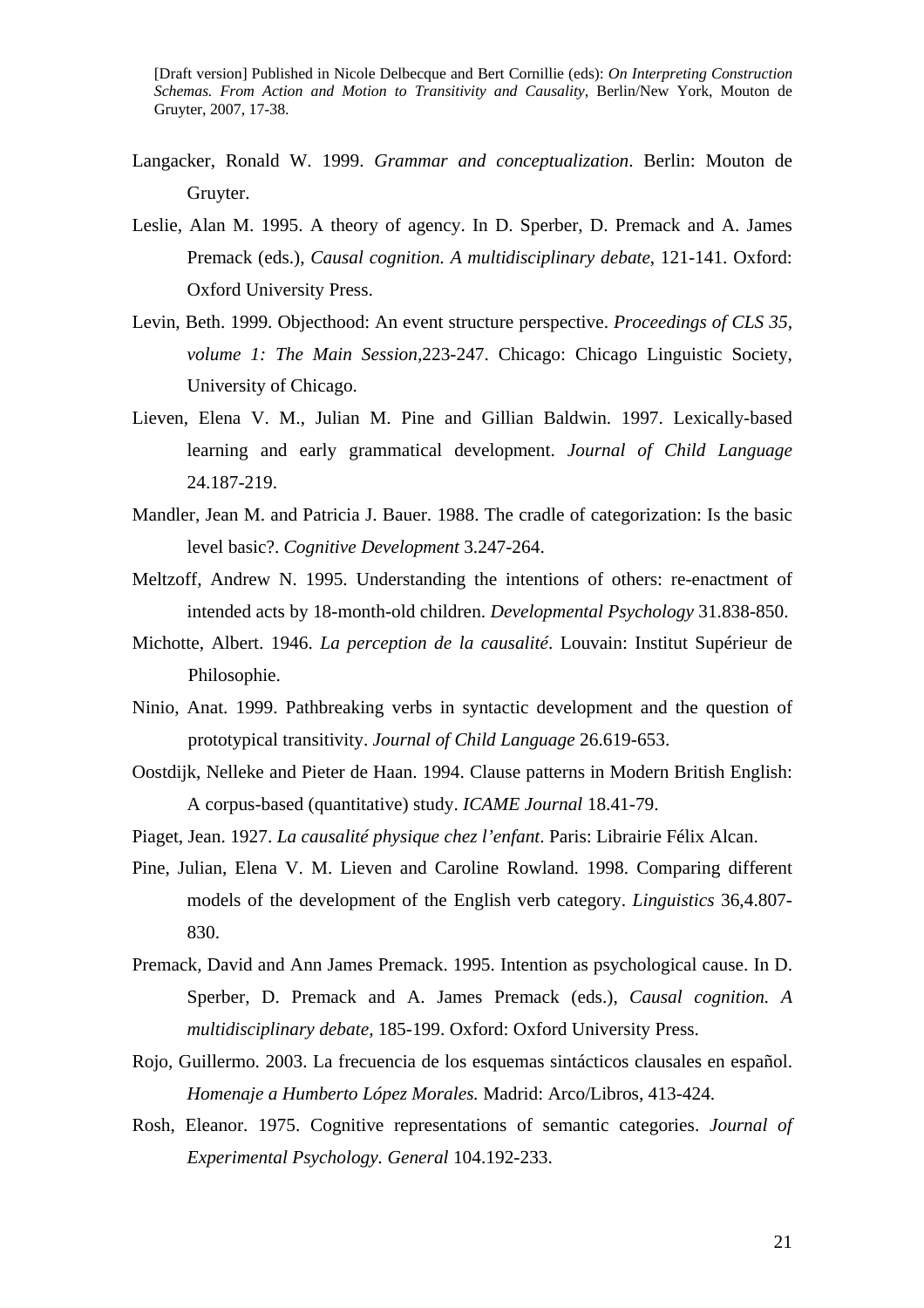- Langacker, Ronald W. 1999. *Grammar and conceptualization*. Berlin: Mouton de Gruyter.
- Leslie, Alan M. 1995. A theory of agency. In D. Sperber, D. Premack and A. James Premack (eds.), *Causal cognition. A multidisciplinary debate*, 121-141. Oxford: Oxford University Press.
- Levin, Beth. 1999. Objecthood: An event structure perspective. *Proceedings of CLS 35, volume 1: The Main Session,*223-247. Chicago: Chicago Linguistic Society, University of Chicago.
- Lieven, Elena V. M., Julian M. Pine and Gillian Baldwin. 1997. Lexically-based learning and early grammatical development. *Journal of Child Language* 24.187-219.
- Mandler, Jean M. and Patricia J. Bauer. 1988. The cradle of categorization: Is the basic level basic?. *Cognitive Development* 3.247-264.
- Meltzoff, Andrew N. 1995. Understanding the intentions of others: re-enactment of intended acts by 18-month-old children. *Developmental Psychology* 31.838-850.
- Michotte, Albert. 1946. *La perception de la causalité*. Louvain: Institut Supérieur de Philosophie.
- Ninio, Anat. 1999. Pathbreaking verbs in syntactic development and the question of prototypical transitivity. *Journal of Child Language* 26.619-653.
- Oostdijk, Nelleke and Pieter de Haan. 1994. Clause patterns in Modern British English: A corpus-based (quantitative) study. *ICAME Journal* 18.41-79.
- Piaget, Jean. 1927. *La causalité physique chez l'enfant*. Paris: Librairie Félix Alcan.
- Pine, Julian, Elena V. M. Lieven and Caroline Rowland. 1998. Comparing different models of the development of the English verb category. *Linguistics* 36,4.807- 830.
- Premack, David and Ann James Premack. 1995. Intention as psychological cause. In D. Sperber, D. Premack and A. James Premack (eds.), *Causal cognition. A multidisciplinary debate,* 185-199. Oxford: Oxford University Press.
- Rojo, Guillermo. 2003. La frecuencia de los esquemas sintácticos clausales en español. *Homenaje a Humberto López Morales.* Madrid: Arco/Libros, 413-424.
- Rosh, Eleanor. 1975. Cognitive representations of semantic categories. *Journal of Experimental Psychology. General* 104.192-233.